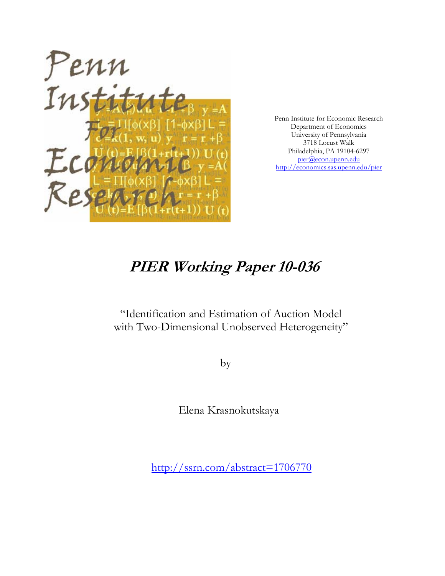

Penn Institute for Economic Research Department of Economics University of Pennsylvania 3718 Locust Walk Philadelphia, PA 19104-6297 pier@econ.upenn.edu http://economics.sas.upenn.edu/pier

# **PIER Working Paper 10-036**

"Identification and Estimation of Auction Model with Two-Dimensional Unobserved Heterogeneity"

by

Elena Krasnokutskaya

http://ssrn.com/abstract=1706770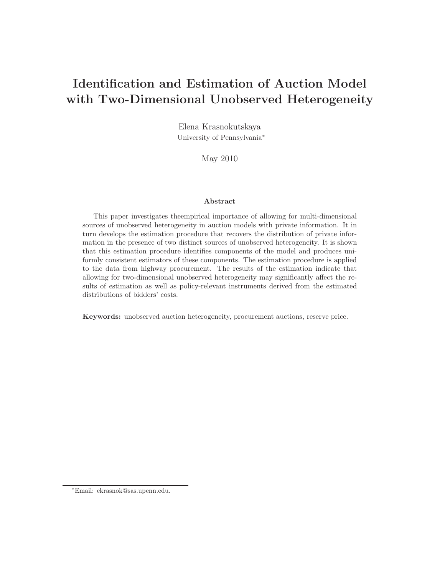## **Identification and Estimation of Auction Model with Two-Dimensional Unobserved Heterogeneity**

Elena Krasnokutskaya University of Pennsylvania∗

May 2010

#### **Abstract**

This paper investigates theempirical importance of allowing for multi-dimensional sources of unobserved heterogeneity in auction models with private information. It in turn develops the estimation procedure that recovers the distribution of private information in the presence of two distinct sources of unobserved heterogeneity. It is shown that this estimation procedure identifies components of the model and produces uniformly consistent estimators of these components. The estimation procedure is applied to the data from highway procurement. The results of the estimation indicate that allowing for two-dimensional unobserved heterogeneity may significantly affect the results of estimation as well as policy-relevant instruments derived from the estimated distributions of bidders' costs.

**Keywords:** unobserved auction heterogeneity, procurement auctions, reserve price.

<sup>∗</sup>Email: ekrasnok@sas.upenn.edu.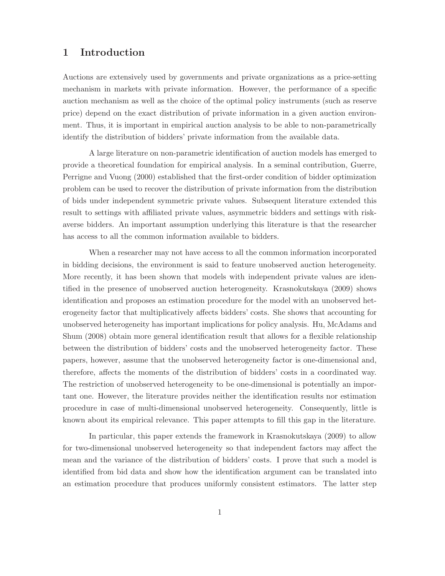## **1Introduction**

Auctions are extensively used by governments and private organizations as a price-setting mechanism in markets with private information. However, the performance of a specific auction mechanism as well as the choice of the optimal policy instruments (such as reserve price) depend on the exact distribution of private information in a given auction environment. Thus, it is important in empirical auction analysis to be able to non-parametrically identify the distribution of bidders' private information from the available data.

A large literature on non-parametric identification of auction models has emerged to provide a theoretical foundation for empirical analysis. In a seminal contribution,Guerre, Perrigne and Vuong (2000) established that the first-order condition of bidder optimization problem can be used to recover the distribution of private information from the distribution of bids under independent symmetric private values. Subsequent literature extended this result to settings with affiliated private values, asymmetric bidders and settings with riskaverse bidders. An important assumption underlying this literature is that the researcher has access to all the common information available to bidders.

When a researcher may not have access to all the common information incorporated in bidding decisions, the environment is said to feature unobserved auction heterogeneity. More recently, it has been shown that models with independent private values are identified in the presence of unobserved auction heterogeneity. Krasnokutskaya (2009) shows identification and proposes an estimation procedure for the model with an unobserved heterogeneity factor that multiplicatively affects bidders' costs. She shows that accounting for unobserved heterogeneity has important implications for policy analysis. Hu, McAdams and Shum (2008) obtain more general identification result that allows for a flexible relationship between the distribution of bidders' costs and the unobserved heterogeneity factor. These papers, however, assume that the unobserved heterogeneity factor is one-dimensional and, therefore, affects the moments of the distribution of bidders' costs in a coordinated way. The restriction of unobserved heterogeneity to be one-dimensional is potentially an important one. However, the literature provides neither the identification results nor estimation procedure in case of multi-dimensional unobserved heterogeneity. Consequently, little is known about its empirical relevance. This paper attempts to fill this gap in the literature.

In particular, this paper extends the framework in Krasnokutskaya (2009) to allow for two-dimensional unobserved heterogeneity so that independent factors may affect the mean and the variance of the distribution of bidders' costs. I prove that such a model is identified from bid data and show how the identification argument can be translated into an estimation procedure that produces uniformly consistent estimators. The latter step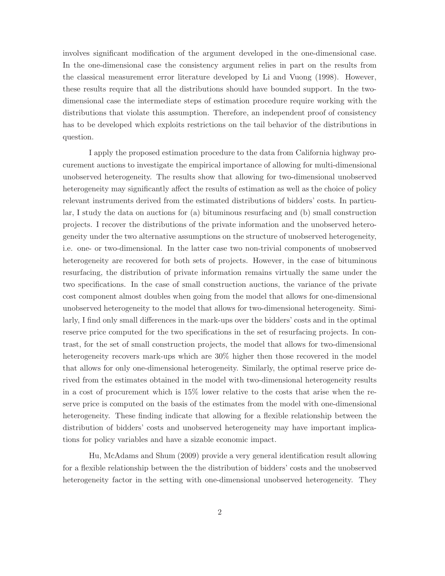involves significant modification of the argument developed in the one-dimensional case. In the one-dimensional case the consistency argument relies in part on the results from the classical measurement error literature developed by Li and Vuong (1998). However, these results require that all the distributions should have bounded support. In the twodimensional case the intermediate steps of estimation procedure require working with the distributions that violate this assumption. Therefore, an independent proof of consistency has to be developed which exploits restrictions on the tail behavior of the distributions in question.

I apply the proposed estimation procedure to the data from California highway procurement auctions to investigate the empirical importance of allowing for multi-dimensional unobserved heterogeneity. The results show that allowing for two-dimensional unobserved heterogeneity may significantly affect the results of estimation as well as the choice of policy relevant instruments derived from the estimated distributions of bidders' costs. In particular,I study the data on auctions for (a) bituminous resurfacing and (b) small construction projects. I recover the distributions of the private information and the unobserved heterogeneity under the two alternative assumptions on the structure of unobserved heterogeneity, i.e. one- or two-dimensional. In the latter case two non-trivial components of unobserved heterogeneity are recovered for both sets of projects. However, in the case of bituminous resurfacing, the distribution of private information remains virtually the same under the two specifications. In the case of small construction auctions,the variance of the private cost component almost doubles when going from the model that allows for one-dimensional unobserved heterogeneity to the model that allows for two-dimensional heterogeneity. Similarly,I find only small differences in the mark-ups over the bidders' costs and in the optimal reserve price computed for the two specifications in the set of resurfacing projects. In contrast, for the set of small construction projects, the model that allows for two-dimensional heterogeneity recovers mark-ups which are 30% higher then those recovered in the model that allows for only one-dimensional heterogeneity. Similarly, the optimal reserve price derived from the estimates obtained in the model with two-dimensional heterogeneity results in a cost of procurement which is 15% lower relative to the costs that arise when the reserve price is computed on the basis of the estimates from the model with one-dimensional heterogeneity. These finding indicate that allowing for a flexible relationship between the distribution of bidders' costs and unobserved heterogeneity may have important implications for policy variables and have a sizable economic impact.

Hu, McAdams and Shum (2009) provide a very general identification result allowing for a flexible relationship between the the distribution of bidders' costs and the unobserved heterogeneity factor in the setting with one-dimensional unobserved heterogeneity. They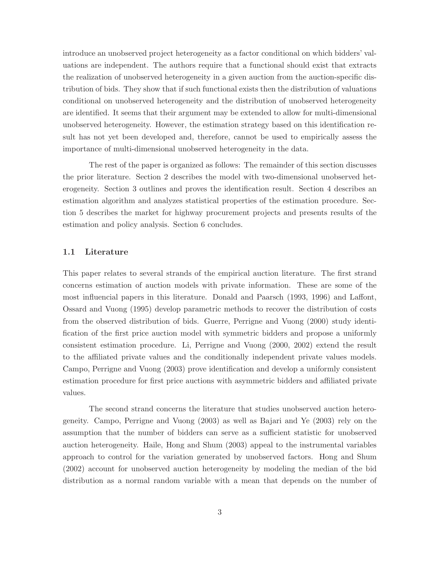introduce an unobserved project heterogeneity as a factor conditional on which bidders' valuations are independent. The authors require that a functional should exist that extracts the realization of unobserved heterogeneity in a given auction from the auction-specific distribution of bids. They show that if such functional exists then the distribution of valuations conditional on unobserved heterogeneity and the distribution of unobserved heterogeneity are identified. It seems that their argument may be extended to allow for multi-dimensional unobserved heterogeneity. However, the estimation strategy based on this identification result has not yet been developed and, therefore, cannot be used to empirically assess the importance of multi-dimensional unobserved heterogeneity in the data.

The rest of the paper is organized as follows: The remainder of this section discusses the prior literature. Section 2 describes the model with two-dimensional unobserved heterogeneity. Section 3 outlines and proves the identification result. Section 4 describes an estimation algorithm and analyzes statistical properties of the estimation procedure. Section 5 describes the market for highway procurement projects and presents results of the estimation and policy analysis. Section 6 concludes.

#### **1.1 Literature**

This paper relates to several strands of the empirical auction literature. The first strand concerns estimation of auction models with private information. These are some of the most influencial papers in this literature. Donald and Paarsch (1993,1996) and Laffont, Ossard and Vuong (1995) develop parametric methods to recover the distribution of costs from the observed distribution of bids. Guerre, Perrigne and Vuong (2000) study identification of the first price auction model with symmetric bidders and propose a uniformly consistent estimation procedure. Li, Perrigne and Vuong (2000, 2002) extend the result to the affiliated private values and the conditionally independent private values models. Campo, Perrigne and Vuong (2003) prove identification and develop a uniformly consistent estimation procedure for first price auctions with asymmetric bidders and affiliated private values.

The second strand concerns the literature that studies unobserved auction heterogeneity. Campo, Perrigne and Vuong  $(2003)$  as well as Bajari and Ye  $(2003)$  rely on the assumption that the number of bidders can serve as a sufficient statistic for unobserved auction heterogeneity. Haile, Hong and Shum (2003) appeal to the instrumental variables approach to control for the variation generated by unobserved factors. Hong and Shum (2002) account for unobserved auction heterogeneity by modeling the median of the bid distribution as a normal random variable with a mean that depends on the number of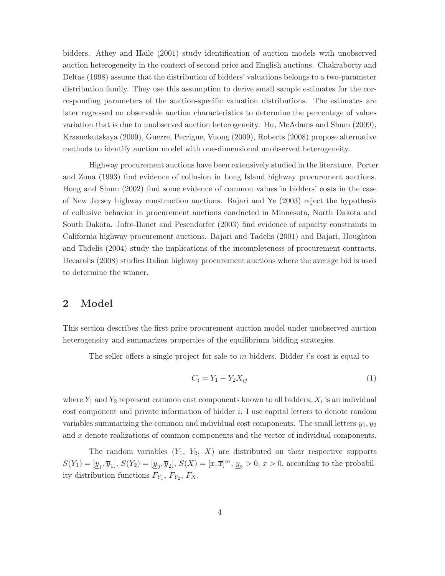bidders. Athey and Haile (2001) study identification of auction models with unobserved auction heterogeneity in the context of second price and English auctions. Chakraborty and Deltas (1998) assume that the distribution of bidders' valuations belongs to a two-parameter distribution family. They use this assumption to derive small sample estimates for the corresponding parameters of the auction-specific valuation distributions. The estimates are later regressed on observable auction characteristics to determine the percentage of values variation that is due to unobserved auction heterogeneity. Hu, McAdams and Shum (2009), Krasnokutskaya (2009),Guerre,Perrigne,Vuong (2009),Roberts (2008) propose alternative methods to identify auction model with one-dimensional unobserved heterogeneity.

Highway procurement auctions have been extensively studied in the literature. Porter and Zona (1993) find evidence of collusion in Long Island highway procurement auctions. Hong and Shum (2002) find some evidence of common values in bidders' costs in the case of New Jersey highway construction auctions. Bajari and Ye (2003) reject the hypothesis of collusive behavior in procurement auctions conducted in Minnesota, North Dakota and South Dakota. Jofre-Bonet and Pesendorfer (2003) find evidence of capacity constraints in California highway procurement auctions. Bajari and Tadelis (2001) and Bajari, Houghton and Tadelis (2004) study the implications of the incompleteness of procurement contracts. Decarolis (2008) studies Italian highway procurement auctions where the average bid is used to determine the winner.

## **2 Model**

This section describes the first-price procurement auction model under unobserved auction heterogeneity and summarizes properties of the equilibrium bidding strategies.

The seller offers a single project for sale to  $m$  bidders. Bidder  $i$ 's cost is equal to

$$
C_i = Y_1 + Y_2 X_{ij} \tag{1}
$$

where  $Y_1$  and  $Y_2$  represent common cost components known to all bidders;  $X_i$  is an individual cost component and private information of bidder  $i$ . I use capital letters to denote random variables summarizing the common and individual cost components. The small letters  $y_1, y_2$ and  $x$  denote realizations of common components and the vector of individual components.

The random variables  $(Y_1, Y_2, X)$  are distributed on their respective supports  $S(Y_1)=[\underline{y}_1, \overline{y}_1], S(Y_2)=[\underline{y}_2, \overline{y}_2], S(X)=[\underline{x}, \overline{x}]^m, \underline{y}_2>0, \underline{x}>0$ , according to the probability distribution functions  $F_{Y_1}, F_{Y_2}, F_X$ .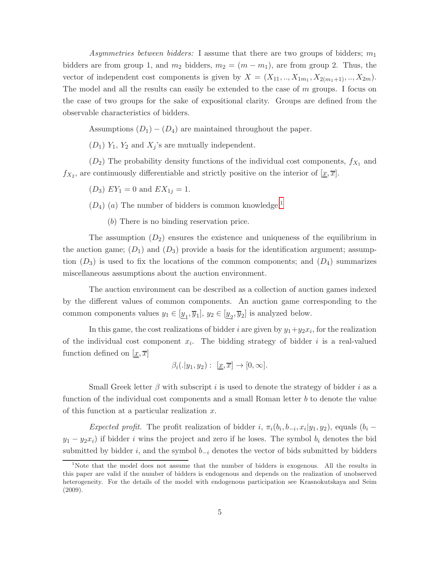Asymmetries between bidders: I assume that there are two groups of bidders;  $m_1$ bidders are from group 1, and  $m_2$  bidders,  $m_2 = (m - m_1)$ , are from group 2. Thus, the vector of independent cost components is given by  $X = (X_{11},...,X_{1m_1},X_{2(m_1+1)},...,X_{2m}).$ The model and all the results can easily be extended to the case of  $m$  groups. I focus on the case of two groups for the sake of expositional clarity. Groups are defined from the observable characteristics of bidders.

Assumptions  $(D_1) - (D_4)$  are maintained throughout the paper.

 $(D_1)$   $Y_1$ ,  $Y_2$  and  $X_j$ 's are mutually independent.

 $(D_2)$  The probability density functions of the individual cost components,  $f_{X_1}$  and  $f_{X_2}$ , are continuously differentiable and strictly positive on the interior of  $[\underline{x}, \overline{x}]$ .

 $(D_3) EY_1 = 0$  and  $EX_{1j} = 1$ .

 $(D_4)$  (a) The number of bidders is common knowledge;<sup>1</sup>

() There is no binding reservation price.

The assumption  $(D_2)$  ensures the existence and uniqueness of the equilibrium in the auction game;  $(D_1)$  and  $(D_3)$  provide a basis for the identification argument; assumption  $(D_3)$  is used to fix the locations of the common components; and  $(D_4)$  summarizes miscellaneous assumptions about the auction environment.

The auction environment can be described as a collection of auction games indexed by the different values of common components. An auction game corresponding to the common components values  $y_1 \in [\underline{y}_1, \overline{y}_1], y_2 \in [\underline{y}_2, \overline{y}_2]$  is analyzed below.

In this game, the cost realizations of bidder *i* are given by  $y_1+y_2x_i$ , for the realization of the individual cost component  $x_i$ . The bidding strategy of bidder i is a real-valued function defined on  $[x, \overline{x}]$ 

$$
\beta_i(.|y_1,y_2): [\underline{x}, \overline{x}] \to [0,\infty].
$$

Small Greek letter  $\beta$  with subscript *i* is used to denote the strategy of bidder *i* as a function of the individual cost components and a small Roman letter  $b$  to denote the value of this function at a particular realization  $x$ .

Expected profit. The profit realization of bidder i,  $\pi_i(b_i, b_{-i}, x_i|y_1, y_2)$ , equals  $(b_i$  $y_1 - y_2 x_i$ ) if bidder *i* wins the project and zero if he loses. The symbol  $b_i$  denotes the bid submitted by bidder i, and the symbol  $b_{-i}$  denotes the vector of bids submitted by bidders

<sup>&</sup>lt;sup>1</sup>Note that the model does not assume that the number of bidders is exogenous. All the results in this paper are valid if the number of bidders is endogenous and depends on the realization of unobserved heterogeneity. For the details of the model with endogenous participation see Krasnokutskaya and Seim (2009).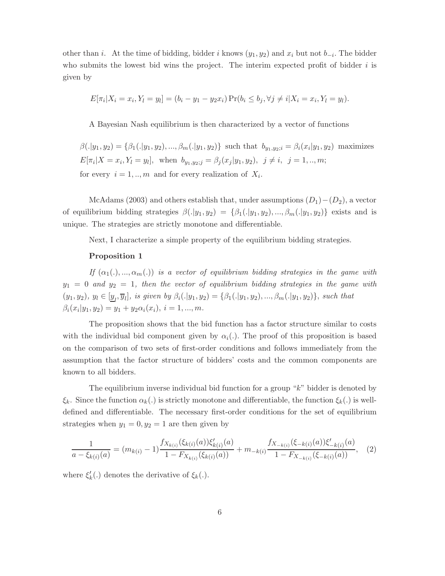other than *i*. At the time of bidding, bidder *i* knows  $(y_1, y_2)$  and  $x_i$  but not  $b_{-i}$ . The bidder who submits the lowest bid wins the project. The interim expected profit of bidder  $i$  is given by

$$
E[\pi_i | X_i = x_i, Y_l = y_l] = (b_i - y_1 - y_2 x_i) \Pr(b_i \le b_j, \forall j \ne i | X_i = x_i, Y_l = y_l).
$$

A Bayesian Nash equilibrium is then characterized by a vector of functions

 $\beta(.|y_1, y_2) = {\beta_1(.|y_1, y_2), ..., \beta_m(.|y_1, y_2)}$  such that  $b_{y_1, y_2; i} = \beta_i(x_i|y_1, y_2)$  maximizes  $E[\pi_i | X = x_i, Y_l = y_l],$  when  $b_{y_1, y_2; j} = \beta_j(x_j | y_1, y_2), \ j \neq i, j = 1, ..., m;$ for every  $i = 1, ..., m$  and for every realization of  $X_i$ .

McAdams (2003) and others establish that, under assumptions  $(D_1)-(D_2)$ , a vector of equilibrium bidding strategies  $\beta(|y_1, y_2) = {\beta_1(|y_1, y_2), ..., \beta_m(|y_1, y_2)}$  exists and is unique. The strategies are strictly monotone and differentiable.

Next, I characterize a simple property of the equilibrium bidding strategies.

#### **Proposition 1**

If  $(\alpha_1(.), ..., \alpha_m(.)$  is a vector of equilibrium bidding strategies in the game with  $y_1 = 0$  and  $y_2 = 1$ , then the vector of equilibrium bidding strategies in the game with  $(y_1, y_2), y_l \in [\underline{y}_l, \overline{y}_l],$  is given by  $\beta_i(.|y_1, y_2) = \{\beta_1(.|y_1, y_2), ..., \beta_m(.|y_1, y_2)\},$  such that  $\beta_i(x_i|y_1, y_2) = y_1 + y_2\alpha_i(x_i), i = 1, ..., m.$ 

The proposition shows that the bid function has a factor structure similar to costs with the individual bid component given by  $\alpha_i$ . The proof of this proposition is based on the comparison of two sets of first-order conditions and follows immediately from the assumption that the factor structure of bidders' costs and the common components are known to all bidders.

The equilibrium inverse individual bid function for a group  $"k"$  bidder is denoted by  $\xi_k$ . Since the function  $\alpha_k(.)$  is strictly monotone and differentiable, the function  $\xi_k(.)$  is welldefined and differentiable. The necessary first-order conditions for the set of equilibrium strategies when  $y_1 = 0, y_2 = 1$  are then given by

<span id="page-7-0"></span>
$$
\frac{1}{a - \xi_{k(i)}(a)} = (m_{k(i)} - 1) \frac{f_{X_{k(i)}}(\xi_{k(i)}(a)) \xi'_{k(i)}(a)}{1 - F_{X_{k(i)}}(\xi_{k(i)}(a))} + m_{-k(i)} \frac{f_{X_{-k(i)}}(\xi_{-k(i)}(a)) \xi'_{-k(i)}(a)}{1 - F_{X_{-k(i)}}(\xi_{-k(i)}(a))},
$$
(2)

where  $\xi'_{k}(.)$  denotes the derivative of  $\xi_{k}(.)$ .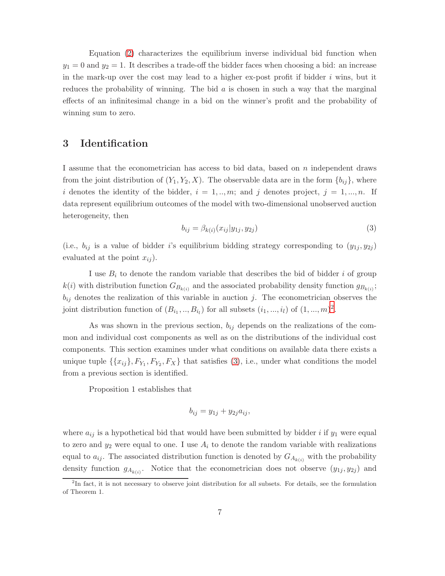Equation [\(2\)](#page-7-0) characterizes the equilibrium inverse individual bid function when  $y_1 = 0$  and  $y_2 = 1$ . It describes a trade-off the bidder faces when choosing a bid: an increase in the mark-up over the cost may lead to a higher ex-post profit if bidder  $i$  wins, but it reduces the probability of winning. The bid  $a$  is chosen in such a way that the marginal effects of an infinitesimal change in a bid on the winner's profit and the probability of winning sum to zero.

## **3 Identification**

I assume that the econometrician has access to bid data, based on  $n$  independent draws from the joint distribution of  $(Y_1, Y_2, X)$ . The observable data are in the form  $\{b_{ij}\}\$ , where i denotes the identity of the bidder,  $i = 1, ..., m$ ; and j denotes project,  $j = 1, ..., n$ . If data represent equilibrium outcomes of the model with two-dimensional unobserved auction heterogeneity, then

<span id="page-8-0"></span>
$$
b_{ij} = \beta_{k(i)}(x_{ij}|y_{1j}, y_{2j})
$$
\n(3)

(i.e.,  $b_{ij}$  is a value of bidder i's equilibrium bidding strategy corresponding to  $(y_{1j}, y_{2j})$ evaluated at the point  $x_{ij}$ .

I use  $B_i$  to denote the random variable that describes the bid of bidder i of group  $k(i)$  with distribution function  $G_{B_{k(i)}}$  and the associated probability density function  $g_{B_{k(i)}}$ ;  $b_{ij}$  denotes the realization of this variable in auction j. The econometrician observes the joint distribution function of  $(B_{i_1},...,B_{i_l})$  for all subsets  $(i_1,...,i_l)$  of  $(1,...,m)^2$ .

As was shown in the previous section,  $b_{ij}$  depends on the realizations of the common and individual cost components as well as on the distributions of the individual cost components. This section examines under what conditions on available data there exists a unique tuple  $\{\{x_{ij}\}, F_{Y_1}, F_{Y_2}, F_X\}$  that satisfies [\(3\)](#page-8-0), i.e., under what conditions the model from a previous section is identified.

Proposition 1 establishes that

$$
b_{ij} = y_{1j} + y_{2j}a_{ij},
$$

where  $a_{ij}$  is a hypothetical bid that would have been submitted by bidder *i* if  $y_1$  were equal to zero and  $y_2$  were equal to one. I use  $A_i$  to denote the random variable with realizations equal to  $a_{ij}$ . The associated distribution function is denoted by  $G_{A_{k(i)}}$  with the probability density function  $g_{A_{k(i)}}$ . Notice that the econometrician does not observe  $(y_{1j}, y_{2j})$  and

<sup>&</sup>lt;sup>2</sup>In fact, it is not necessary to observe joint distribution for all subsets. For details, see the formulation of Theorem 1.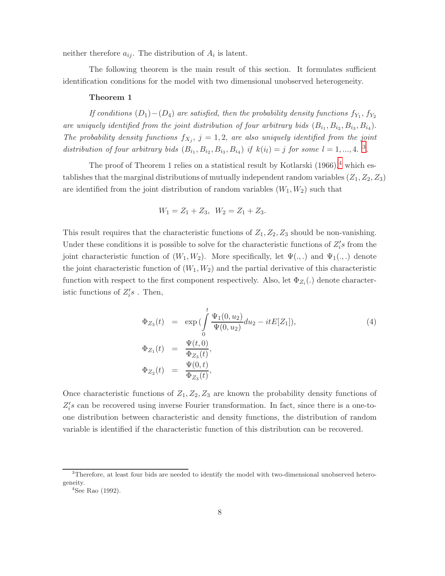neither therefore  $a_{ij}$ . The distribution of  $A_i$  is latent.

The following theorem is the main result of this section. It formulates sufficient identification conditions for the model with two dimensional unobserved heterogeneity.

#### **Theorem 1**

If conditions  $(D_1)-(D_4)$  are satisfied, then the probability density functions  $f_{Y_1}, f_{Y_2}$ are uniquely identified from the joint distribution of four arbitrary bids  $(B_{i_1}, B_{i_2}, B_{i_3}, B_{i_4}).$ The probability density functions  $f_{X_j}$ ,  $j = 1, 2$ , are also uniquely identified from the joint distribution of four arbitrary bids  $(B_{i_1}, B_{i_2}, B_{i_3}, B_{i_4})$  if  $k(i_l) = j$  for some  $l = 1, ..., 4$ .<sup>3</sup>.

The proof of Theorem 1 relies on a statistical result by Kotlarski  $(1966)$ ,<sup>4</sup> which establishes that the marginal distributions of mutually independent random variables  $(Z_1, Z_2, Z_3)$ are identified from the joint distribution of random variables  $(W_1, W_2)$  such that

$$
W_1 = Z_1 + Z_3, \ W_2 = Z_1 + Z_3.
$$

This result requires that the characteristic functions of  $Z_1, Z_2, Z_3$  should be non-vanishing. Under these conditions it is possible to solve for the characteristic functions of  $Z_i$ 's from the joint characteristic function of  $(W_1, W_2)$ . More specifically, let  $\Psi(.,.)$  and  $\Psi_1(.,.)$  denote the joint characteristic function of  $(W_1, W_2)$  and the partial derivative of this characteristic function with respect to the first component respectively. Also, let  $\Phi_{Z_i}(\cdot)$  denote characteristic functions of  $Z_i's$ . Then,

$$
\Phi_{Z_3}(t) = \exp\left(\int_0^t \frac{\Psi_1(0, u_2)}{\Psi(0, u_2)} du_2 - itE[Z_1]\right),
$$
\n
$$
\Phi_{Z_1}(t) = \frac{\Psi(t, 0)}{\Phi_{Z_3}(t)},
$$
\n
$$
\Phi_{Z_2}(t) = \frac{\Psi(0, t)}{\Phi_{Z_3}(t)},
$$
\n(4)

Once characteristic functions of  $Z_1, Z_2, Z_3$  are known the probability density functions of  $Z_i$ 's can be recovered using inverse Fourier transformation. In fact, since there is a one-toone distribution between characteristic and density functions,the distribution of random variable is identified if the characteristic function of this distribution can be recovered.

 $3$ Therefore, at least four bids are needed to identify the model with two-dimensional unobserved heterogeneity.

 $4$ See Rao (1992).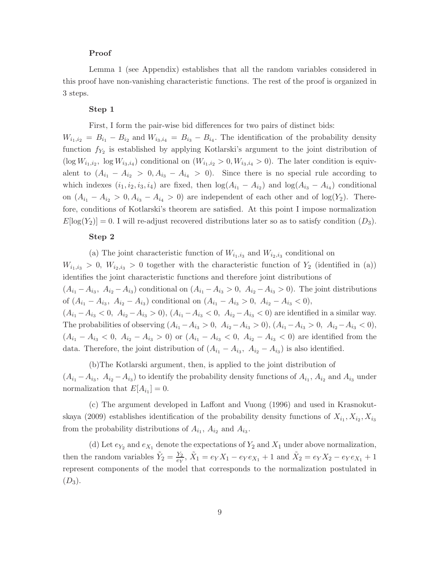#### **Proof**

Lemma 1 (see Appendix) establishes that all the random variables considered in this proof have non-vanishing characteristic functions. The rest of the proof is organized in 3 steps.

#### **Step 1**

First,I form the pair-wise bid differences for two pairs of distinct bids:

 $W_{i_1,i_2} = B_{i_1} - B_{i_2}$  and  $W_{i_3,i_4} = B_{i_3} - B_{i_4}$ . The identification of the probability density function  $f_{Y_2}$  is established by applying Kotlarski's argument to the joint distribution of  $(\log W_{i_1,i_2}, \log W_{i_3,i_4})$  conditional on  $(W_{i_1,i_2} > 0, W_{i_3,i_4} > 0)$ . The later condition is equivalent to  $(A_{i_1} - A_{i_2} > 0, A_{i_3} - A_{i_4} > 0)$ . Since there is no special rule according to which indexes  $(i_1, i_2, i_3, i_4)$  are fixed, then  $log(A_{i_1} - A_{i_2})$  and  $log(A_{i_3} - A_{i_4})$  conditional on  $(A_{i_1} - A_{i_2} > 0, A_{i_3} - A_{i_4} > 0)$  are independent of each other and of  $log(Y_2)$ . Therefore, conditions of Kotlarski's theorem are satisfied. At this point I impose normalization  $E[\log(Y_2)] = 0$ . I will re-adjust recovered distributions later so as to satisfy condition  $(D_3)$ .

#### **Step 2**

(a) The joint characteristic function of  $W_{i_1,i_3}$  and  $W_{i_2,i_3}$  conditional on  $W_{i_1,i_3} > 0$ ,  $W_{i_2,i_3} > 0$  together with the characteristic function of  $Y_2$  (identified in (a)) identifies the joint characteristic functions and therefore joint distributions of  $(A_{i_1} - A_{i_3}, A_{i_2} - A_{i_3})$  conditional on  $(A_{i_1} - A_{i_3} > 0, A_{i_2} - A_{i_3} > 0)$ . The joint distributions of  $(A_{i_1} - A_{i_3}, A_{i_2} - A_{i_3})$  conditional on  $(A_{i_1} - A_{i_3} > 0, A_{i_2} - A_{i_3} < 0),$  $(A_{i_1} - A_{i_3} < 0, A_{i_2} - A_{i_3} > 0), (A_{i_1} - A_{i_3} < 0, A_{i_2} - A_{i_3} < 0)$  are identified in a similar way. The probabilities of observing  $(A_{i_1} - A_{i_3} > 0, A_{i_2} - A_{i_3} > 0), (A_{i_1} - A_{i_3} > 0, A_{i_2} - A_{i_3} < 0),$  $(A_{i_1} - A_{i_3} < 0, A_{i_2} - A_{i_3} > 0)$  or  $(A_{i_1} - A_{i_3} < 0, A_{i_2} - A_{i_3} < 0)$  are identified from the data. Therefore, the joint distribution of  $(A_{i_1} - A_{i_3}, A_{i_2} - A_{i_3})$  is also identified.

(b) The Kotlarski argument, then, is applied to the joint distribution of  $(A_{i_1} - A_{i_3}, A_{i_2} - A_{i_3})$  to identify the probability density functions of  $A_{i_1}$ ,  $A_{i_2}$  and  $A_{i_3}$  under normalization that  $E[A_{i_1}] = 0$ .

(c) The argument developed in Laffont and Vuong (1996) and used in Krasnokutskaya (2009) establishes identification of the probability density functions of  $X_{i_1}, X_{i_2}, X_{i_3}$ from the probability distributions of  $A_{i_1}$ ,  $A_{i_2}$  and  $A_{i_3}$ 

(d) Let  $e_{Y_2}$  and  $e_{X_1}$  denote the expectations of  $Y_2$  and  $X_1$  under above normalization, then the random variables  $\tilde{Y}_2 = \frac{Y_2}{e_Y}, \tilde{X}_1 = e_Y X_1 - e_Y e_{X_1} + 1$  and  $\tilde{X}_2 = e_Y X_2 - e_Y e_{X_1} + 1$ represent components of the model that corresponds to the normalization postulated in  $(D_3).$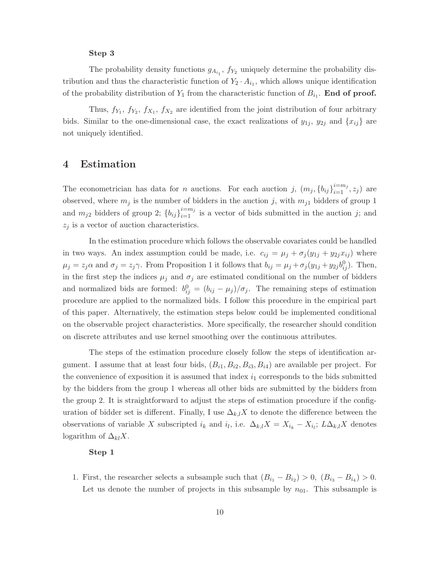#### **Step 3**

The probability density functions  $g_{A_{i_1}}$ ,  $f_{Y_2}$  uniquely determine the probability distribution and thus the characteristic function of  $Y_2 \cdot A_{i_1}$ , which allows unique identification of the probability distribution of  $Y_1$  from the characteristic function of  $B_{i_1}$ . **End of proof.** 

Thus,  $f_{Y_1}, f_{Y_2}, f_{X_1}, f_{X_2}$  are identified from the joint distribution of four arbitrary bids. Similar to the one-dimensional case, the exact realizations of  $y_{1j}$ ,  $y_{2j}$  and  $\{x_{ij}\}$  are not uniquely identified.

### **4 Estimation**

The econometrician has data for *n* auctions. For each auction *j*,  $(m_j, \{b_{ij}\}_{i=1}^{i=m_j}, z_j)$  are observed, where  $m_j$  is the number of bidders in the auction j, with  $m_{j1}$  bidders of group 1 and  $m_{j2}$  bidders of group 2;  ${b_{ij}}_{i=1}^{i=m_j}$  is a vector of bids submitted in the auction j; and  $z_i$  is a vector of auction characteristics.

In the estimation procedure which follows the observable covariates could be handled in two ways. An index assumption could be made, i.e.  $c_{ij} = \mu_j + \sigma_j(y_{1j} + y_{2j}x_{ij})$  where  $\mu_j = z_j \alpha$  and  $\sigma_j = z_j \gamma$ . From Proposition 1 it follows that  $b_{ij} = \mu_j + \sigma_j (y_{1j} + y_{2j} b_{ij}^0)$ . Then, in the first step the indices  $\mu_j$  and  $\sigma_j$  are estimated conditional on the number of bidders and normalized bids are formed:  $b_{ij}^0 = (b_{ij} - \mu_j)/\sigma_j$ . The remaining steps of estimation procedure are applied to the normalized bids. I follow this procedure in the empirical part of this paper. Alternatively, the estimation steps below could be implemented conditional on the observable project characteristics. More specifically,the researcher should condition on discrete attributes and use kernel smoothing over the continuous attributes.

The steps of the estimation procedure closely follow the steps of identification argument. I assume that at least four bids,  $(B_{i1}, B_{i2}, B_{i3}, B_{i4})$  are available per project. For the convenience of exposition it is assumed that index  $i_1$  corresponds to the bids submitted by the bidders from the group 1 whereas all other bids are submitted by the bidders from the group 2. It is straightforward to adjust the steps of estimation procedure if the configuration of bidder set is different. Finally, I use  $\Delta_{k,l}X$  to denote the difference between the observations of variable X subscripted  $i_k$  and  $i_l$ , i.e.  $\Delta_{k,l} X = X_{i_k} - X_{i_l}$ ;  $L \Delta_{k,l} X$  denotes logarithm of  $\Delta_{kl}X$ .

#### **Step 1**

1. First, the researcher selects a subsample such that  $(B_{i_1} - B_{i_2}) > 0$ ,  $(B_{i_3} - B_{i_4}) > 0$ . Let us denote the number of projects in this subsample by  $n_{01}$ . This subsample is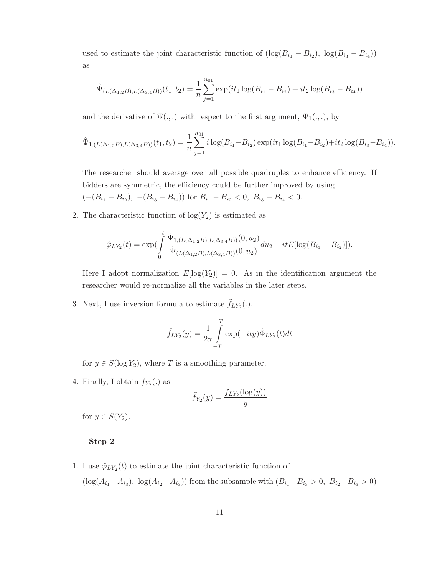used to estimate the joint characteristic function of  $(\log(B_{i_1} - B_{i_2}), \log(B_{i_3} - B_{i_4}))$ as

$$
\hat{\Psi}_{(L(\Delta_{1,2}B),L(\Delta_{3,4}B))}(t_1,t_2) = \frac{1}{n} \sum_{j=1}^{n_{01}} \exp(it_1 \log(B_{i_1} - B_{i_2}) + it_2 \log(B_{i_3} - B_{i_4}))
$$

and the derivative of  $\Psi(.,.)$  with respect to the first argument,  $\Psi_1(.,.),$  by

$$
\hat{\Psi}_{1,(L(\Delta_{1,2}B),L(\Delta_{3,4}B))}(t_1,t_2) = \frac{1}{n} \sum_{j=1}^{n_{01}} i \log(B_{i_1} - B_{i_2}) \exp(it_1 \log(B_{i_1} - B_{i_2}) + it_2 \log(B_{i_3} - B_{i_4})).
$$

The researcher should average over all possible quadruples to enhance efficiency. If bidders are symmetric, the efficiency could be further improved by using  $(-(B_{i_1} - B_{i_2}), -(B_{i_3} - B_{i_4}))$  for  $B_{i_1} - B_{i_2} < 0$ ,  $B_{i_3} - B_{i_4} < 0$ .

2. The characteristic function of  $log(Y_2)$  is estimated as

$$
\hat{\varphi}_{LY_2}(t) = \exp\left(\int\limits_0^t \frac{\hat{\Psi}_{1,(L(\Delta_{1,2}B),L(\Delta_{3,4}B))}(0,u_2)}{\hat{\Psi}_{(L(\Delta_{1,2}B),L(\Delta_{3,4}B))}(0,u_2)}du_2 - itE[\log(B_{i_1} - B_{i_2})]).
$$

Here I adopt normalization  $E[log(Y_2)] = 0$ . As in the identification argument the researcher would re-normalize all the variables in the later steps.

3. Next, I use inversion formula to estimate  $\tilde{f}_{LY_2}(.)$ .

$$
\tilde{f}_{LY_2}(y) = \frac{1}{2\pi} \int_{-T}^{T} \exp(-ity)\hat{\Phi}_{LY_2}(t)dt
$$

for  $y \in S(\log Y_2)$ , where T is a smoothing parameter.

4. Finally, I obtain  $\tilde{f}_{Y_2}(.)$  as

$$
\tilde{f}_{Y_2}(y) = \frac{\tilde{f}_{LY_2}(\log(y))}{y}
$$

for  $y \in S(Y_2)$ .

#### **Step 2**

1. I use  $\hat{\varphi}_{LY_2}(t)$  to estimate the joint characteristic function of

 $(\log(A_{i_1}-A_{i_3}), \log(A_{i_2}-A_{i_3}))$  from the subsample with  $(B_{i_1}-B_{i_3} > 0, B_{i_2}-B_{i_3} > 0)$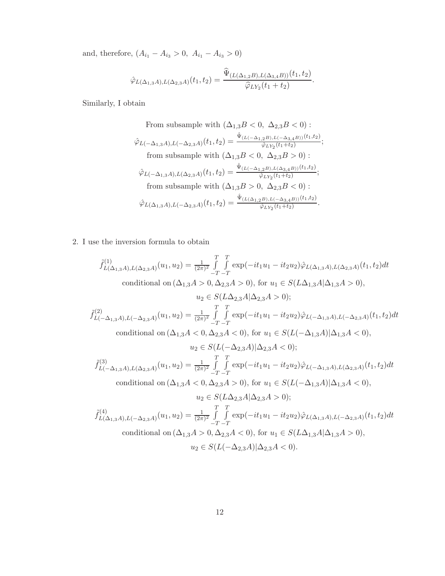and, therefore,  $(A_{i_1} - A_{i_3} > 0, A_{i_1} - A_{i_3} > 0)$ 

$$
\hat{\varphi}_{L(\Delta_{1,3}A),L(\Delta_{2,3}A)}(t_1,t_2)=\frac{\widehat{\Psi}_{(L(\Delta_{1,2}B),L(\Delta_{3,4}B))}(t_1,t_2)}{\widehat{\varphi}_{LY_2}(t_1+t_2)}.
$$

Similarly,I obtain

From subsample with 
$$
(\Delta_{1,3}B < 0, \ \Delta_{2,3}B < 0)
$$
:  
\n
$$
\hat{\varphi}_{L(-\Delta_{1,3}A),L(-\Delta_{2,3}A)}(t_1, t_2) = \frac{\hat{\Psi}_{(L(-\Delta_{1,2}B),L(-\Delta_{3,4}B))}(t_1, t_2)}{\hat{\varphi}_{LY_2}(t_1+t_2)};
$$
\nfrom subsample with  $(\Delta_{1,3}B < 0, \ \Delta_{2,3}B > 0)$ :  
\n
$$
\hat{\varphi}_{L(-\Delta_{1,3}A),L(\Delta_{2,3}A)}(t_1, t_2) = \frac{\hat{\Psi}_{(L(-\Delta_{1,2}B),L(\Delta_{3,4}B))}(t_1, t_2)}{\hat{\varphi}_{LY_2}(t_1+t_2)};
$$
\nfrom subsample with  $(\Delta_{1,3}B > 0, \ \Delta_{2,3}B < 0)$ :  
\n
$$
\hat{\varphi}_{L(\Delta_{1,3}A),L(-\Delta_{2,3}A)}(t_1, t_2) = \frac{\hat{\Psi}_{(L(\Delta_{1,2}B),L(-\Delta_{3,4}B))}(t_1, t_2)}{\hat{\varphi}_{LY_2}(t_1+t_2)}.
$$

2. I use the inversion formula to obtain

$$
\begin{aligned} \tilde{f}^{(1)}_{L(\Delta_{1,3}A),L(\Delta_{2,3}A)}(u_1,u_2)&=\tfrac{1}{(2\pi)^2}\int\limits_{-T}^{T}\int\limits_{-T}^T\exp(-it_1u_1-it_2u_2)\hat{\varphi}_{L(\Delta_{1,3}A),L(\Delta_{2,3}A)}(t_1,t_2)dt\\ &\text{conditional on }(\Delta_{1,3}A>0,\Delta_{2,3}A>0),\text{ for }u_1\in S(L\Delta_{1,3}A|\Delta_{1,3}A>0),\\ &u_2\in S(L\Delta_{2,3}A|\Delta_{2,3}A>0);\\ \tilde{f}^{(2)}_{L(-\Delta_{1,3}A),L(-\Delta_{2,3}A)}(u_1,u_2)&=\tfrac{1}{(2\pi)^2}\int\limits_{-T}^{T}\int\limits_{-T}^T\exp(-it_1u_1-it_2u_2)\hat{\varphi}_{L(-\Delta_{1,3}A),L(-\Delta_{2,3}A)}(t_1,t_2)dt\\ &\text{conditional on }(\Delta_{1,3}A<0,\Delta_{2,3}A<0),\text{ for }u_1\in S(L(-\Delta_{1,3}A)|\Delta_{1,3}A<0),\\ &u_2\in S(L(-\Delta_{2,3}A)|\Delta_{2,3}A<0);\\ \tilde{f}^{(3)}_{L(-\Delta_{1,3}A),L(\Delta_{2,3}A)}(u_1,u_2)&=\tfrac{1}{(2\pi)^2}\int\limits_{-T}^{T}\int\limits_{-T}^T\exp(-it_1u_1-it_2u_2)\hat{\varphi}_{L(-\Delta_{1,3}A),L(\Delta_{2,3}A)}(t_1,t_2)dt\\ &\text{conditional on }(\Delta_{1,3}A<0,\Delta_{2,3}A>0),\text{ for }u_1\in S(L(-\Delta_{1,3}A)|\Delta_{1,3}A<0),\\ &u_2\in S(L\Delta_{2,3}A|\Delta_{2,3}A>0);\\ \tilde{f}^{(4)}_{L(\Delta_{1,3}A),L(-\Delta_{2,3}A)}(u_1,u_2)&=\tfrac{1}{(2\pi)^2}\int\limits_{-T}^T\int\limits_{-T}^T\exp(-it_1u_1-it_2u_2)\hat{\varphi}_{L(\Delta_{1,3}A),L(-\Delta_{2,3}A
$$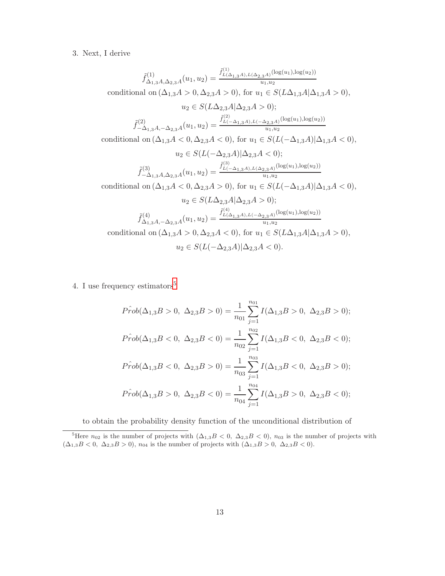## 3. Next,I derive

$$
\begin{split} \tilde{f}^{(1)}_{\Delta_{1,3}A,\Delta_{2,3}A}(u_1,u_2)&=\frac{\tilde{f}^{(1)}_{L(\Delta_{1,3}A),L(\Delta_{2,3}A})({\rm log}(u_1),{\rm log}(u_2))}{u_1,u_2}\\ \text{conditional on }(\Delta_{1,3}A>0,\Delta_{2,3}A>0),\text{ for }u_1\in S(L\Delta_{1,3}A|\Delta_{1,3}A>0),\\ u_2\in S(L\Delta_{2,3}A|\Delta_{2,3}A>0);\\ \tilde{f}^{(2)}_{-\Delta_{1,3}A,-\Delta_{2,3}A}(u_1,u_2)&=\frac{\tilde{f}^{(2)}_{L(-\Delta_{1,3}A),L(-\Delta_{2,3}A)}({\rm log}(u_1),{\rm log}(u_2))}{u_1,u_2}\\ \text{conditional on }(\Delta_{1,3}A<0,\Delta_{2,3}A<0),\text{ for }u_1\in S(L(-\Delta_{1,3}A)|\Delta_{1,3}A<0),\\ u_2\in S(L(-\Delta_{2,3}A)|\Delta_{2,3}A<0);\\ \tilde{f}^{(3)}_{-\Delta_{1,3}A,\Delta_{2,3}A}(u_1,u_2)&=\frac{\tilde{f}^{(3)}_{L(-\Delta_{1,3}A),L(\Delta_{2,3}A)}({\rm log}(u_1),{\rm log}(u_2))}{u_1,u_2}\\ \text{conditional on }(\Delta_{1,3}A<0,\Delta_{2,3}A>0),\text{ for }u_1\in S(L(-\Delta_{1,3}A)|\Delta_{1,3}A<0),\\ u_2\in S(L\Delta_{2,3}A|\Delta_{2,3}A>0);\\ \tilde{f}^{(4)}_{\Delta_{1,3}A,-\Delta_{2,3}A}(u_1,u_2)&=\frac{\tilde{f}^{(4)}_{L(\Delta_{1,3}A),L(-\Delta_{2,3}A)}({\rm log}(u_1),{\rm log}(u_2))}{u_1,u_2}\\ \text{conditional on }(\Delta_{1,3}A>0,\Delta_{2,3}A<0),\text{ for }u_1\in S(L\Delta_{1,3}A|\Delta_{1,3}A>0),\\ u_2\in S(L(-\Delta_{2,3}A)|\Delta_{2,3}A<0). \end{split}
$$

4. I use frequency estimators  $5$ 

$$
P\hat{r}ob(\Delta_{1,3}B > 0, \ \Delta_{2,3}B > 0) = \frac{1}{n_{01}} \sum_{j=1}^{n_{01}} I(\Delta_{1,3}B > 0, \ \Delta_{2,3}B > 0);
$$
  

$$
P\hat{r}ob(\Delta_{1,3}B < 0, \ \Delta_{2,3}B < 0) = \frac{1}{n_{02}} \sum_{j=1}^{n_{02}} I(\Delta_{1,3}B < 0, \ \Delta_{2,3}B < 0);
$$
  

$$
P\hat{r}ob(\Delta_{1,3}B < 0, \ \Delta_{2,3}B > 0) = \frac{1}{n_{03}} \sum_{j=1}^{n_{03}} I(\Delta_{1,3}B < 0, \ \Delta_{2,3}B > 0);
$$
  

$$
P\hat{r}ob(\Delta_{1,3}B > 0, \ \Delta_{2,3}B < 0) = \frac{1}{n_{04}} \sum_{j=1}^{n_{04}} I(\Delta_{1,3}B > 0, \ \Delta_{2,3}B < 0);
$$

to obtain the probability density function of the unconditional distribution of

<sup>&</sup>lt;sup>5</sup>Here  $n_{02}$  is the number of projects with  $(\Delta_{1,3} B < 0, \Delta_{2,3} B < 0)$ ,  $n_{03}$  is the number of projects with  $(\Delta_{1,3} B < 0, \ \Delta_{2,3} B > 0), n_{04}$  is the number of projects with  $(\Delta_{1,3} B > 0, \ \Delta_{2,3} B < 0).$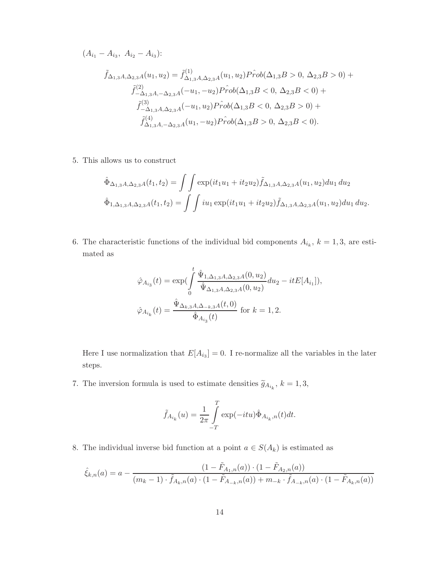$$
(A_{i_1} - A_{i_3}, A_{i_2} - A_{i_3}):
$$
  

$$
\tilde{f}_{\Delta_{1,3}A,\Delta_{2,3}A}(u_1, u_2) = \tilde{f}_{\Delta_{1,3}A,\Delta_{2,3}A}^{(1)}(u_1, u_2)P\hat{r}ob(\Delta_{1,3}B > 0, \Delta_{2,3}B > 0) +
$$
  

$$
\tilde{f}_{-\Delta_{1,3}A,-\Delta_{2,3}A}^{(2)}(-u_1, -u_2)P\hat{r}ob(\Delta_{1,3}B < 0, \Delta_{2,3}B < 0) +
$$
  

$$
\tilde{f}_{-\Delta_{1,3}A,\Delta_{2,3}A}^{(3)}(-u_1, u_2)P\hat{r}ob(\Delta_{1,3}B < 0, \Delta_{2,3}B > 0) +
$$
  

$$
\tilde{f}_{\Delta_{1,3}A,-\Delta_{2,3}A}^{(4)}(u_1, -u_2)P\hat{r}ob(\Delta_{1,3}B > 0, \Delta_{2,3}B < 0).
$$

5. This allows us to construct

$$
\hat{\Phi}_{\Delta_{1,3}A,\Delta_{2,3}A}(t_1, t_2) = \iint \exp(it_1 u_1 + it_2 u_2) \tilde{f}_{\Delta_{1,3}A,\Delta_{2,3}A}(u_1, u_2) du_1 du_2
$$
  

$$
\hat{\Phi}_{1,\Delta_{1,3}A,\Delta_{2,3}A}(t_1, t_2) = \iint i u_1 \exp(it_1 u_1 + it_2 u_2) \tilde{f}_{\Delta_{1,3}A,\Delta_{2,3}A}(u_1, u_2) du_1 du_2.
$$

6. The characteristic functions of the individual bid components  $A_{i_k}$ ,  $k = 1, 3$ , are estimated as

$$
\hat{\varphi}_{A_{i_3}}(t) = \exp\left(\int\limits_0^t \frac{\hat{\Psi}_{1,\Delta_{1,3}A,\Delta_{2,3}A}(0,u_2)}{\hat{\Psi}_{\Delta_{1,3}A,\Delta_{2,3}A}(0,u_2)}du_2 - itE[A_{i_1}]),
$$
  

$$
\hat{\varphi}_{A_{i_k}}(t) = \frac{\hat{\Psi}_{\Delta_{k,3}A,\Delta_{-k,3}A}(t,0)}{\hat{\Phi}_{A_{i_3}}(t)} \text{ for } k = 1,2.
$$

Here I use normalization that  $E[A_{i_3}] = 0$ . I re-normalize all the variables in the later steps.

7. The inversion formula is used to estimate densities  $\tilde{g}_{A_{i_k}}, k = 1, 3$ ,

$$
\tilde{f}_{A_{i_k}}(u) = \frac{1}{2\pi} \int_{-T}^{T} \exp(-itu) \hat{\Phi}_{A_{i_k},n}(t)dt.
$$

8. The individual inverse bid function at a point  $a \in S(A_k)$  is estimated as

$$
\hat{\xi}_{k,n}(a) = a - \frac{(1 - \tilde{F}_{A_1,n}(a)) \cdot (1 - \tilde{F}_{A_2,n}(a))}{(m_k - 1) \cdot \tilde{f}_{A_k,n}(a) \cdot (1 - \tilde{F}_{A_{-k},n}(a)) + m_{-k} \cdot \tilde{f}_{A_{-k},n}(a) \cdot (1 - \tilde{F}_{A_k,n}(a))}
$$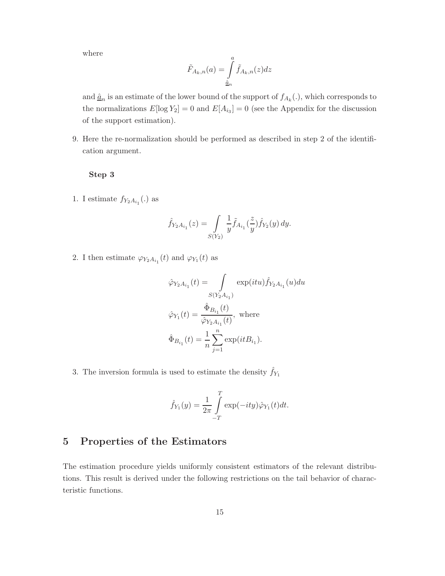where

$$
\tilde{F}_{A_k,n}(a) = \int\limits_{\hat{a}_n}^{a} \tilde{f}_{A_k,n}(z) dz
$$

and  $\underline{\hat{a}}_n$  is an estimate of the lower bound of the support of  $f_{A_k}(.)$ , which corresponds to the normalizations  $E[\log Y_2] = 0$  and  $E[A_{i_3}] = 0$  (see the Appendix for the discussion of the support estimation).

9. Here the re-normalization should be performed as described in step 2 of the identification argument.

#### **Step 3**

1. I estimate  $f_{Y_2A_{i_1}}(.)$  as

$$
\hat{f}_{Y_2A_{i_1}}(z) = \int\limits_{S(Y_2)} \frac{1}{y} \tilde{f}_{A_{i_1}}(\frac{z}{y}) \hat{f}_{Y_2}(y) \, dy.
$$

2. I then estimate  $\varphi_{Y_2 A_{i_1}}(t)$  and  $\varphi_{Y_1}(t)$  as

$$
\hat{\varphi}_{Y_2A_{i_1}}(t) = \int \limits_{S(Y_2A_{i_1})} \exp(itu) \hat{f}_{Y_2A_{i_1}}(u) du
$$

$$
\hat{\varphi}_{Y_1}(t) = \frac{\hat{\Phi}_{B_{i_1}}(t)}{\hat{\varphi}_{Y_2A_{i_1}}(t)}, \text{ where}
$$

$$
\hat{\Phi}_{B_{i_1}}(t) = \frac{1}{n} \sum_{j=1}^n \exp(itB_{i_1}).
$$

3. The inversion formula is used to estimate the density  $\hat{f}_{Y_1}$ 

$$
\hat{f}_{Y_1}(y) = \frac{1}{2\pi} \int\limits_{-T}^{T} \exp(-ity)\hat{\varphi}_{Y_1}(t)dt.
$$

## **5 Properties of the Estimators**

The estimation procedure yields uniformly consistent estimators of the relevant distributions. This result is derived under the following restrictions on the tail behavior of characteristic functions.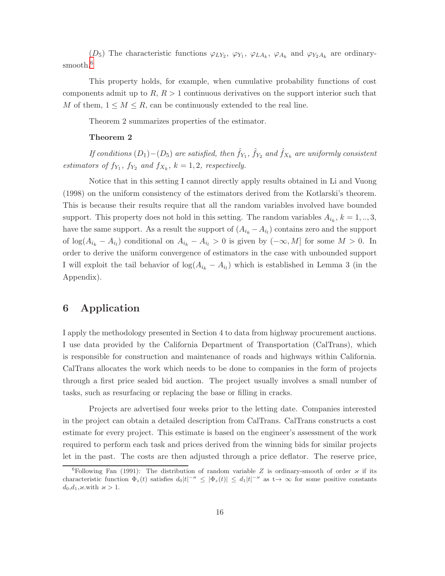$(D_5)$  The characteristic functions  $\varphi_{LY_2}, \varphi_{Y_1}, \varphi_{LA_k}, \varphi_{A_k}$  and  $\varphi_{Y_2A_k}$  are ordinarysmooth.<sup>6</sup>

This property holds, for example, when cumulative probability functions of cost components admit up to  $R, R > 1$  continuous derivatives on the support interior such that M of them,  $1 \leq M \leq R$ , can be continuously extended to the real line.

Theorem 2 summarizes properties of the estimator.

#### **Theorem 2**

If conditions  $(D_1)-(D_5)$  are satisfied, then  $\hat{f}_{Y_1}$ ,  $\hat{f}_{Y_2}$  and  $\hat{f}_{X_k}$  are uniformly consistent estimators of  $f_{Y_1}$ ,  $f_{Y_2}$  and  $f_{X_k}$ ,  $k = 1, 2$ , respectively.

Notice that in this setting I cannot directly apply results obtained in Li and Vuong (1998) on the uniform consistency of the estimators derived from the Kotlarski's theorem. This is because their results require that all the random variables involved have bounded support. This property does not hold in this setting. The random variables  $A_{i_k}$ ,  $k = 1, ..., 3$ , have the same support. As a result the support of  $(A_{i_k} - A_{i_l})$  contains zero and the support of  $log(A_{i_k} - A_{i_l})$  conditional on  $A_{i_k} - A_{i_l} > 0$  is given by  $(-\infty, M]$  for some  $M > 0$ . In order to derive the uniform convergence of estimators in the case with unbounded support I will exploit the tail behavior of  $\log(A_{i_k} - A_{i_l})$  which is established in Lemma 3 (in the Appendix).

## **6 Application**

I apply the methodology presented in Section 4 to data from highway procurement auctions. I use data provided by the California Department of Transportation (CalTrans), which is responsible for construction and maintenance of roads and highways within California. CalTrans allocates the work which needs to be done to companies in the form of projects through a first price sealed bid auction. The project usually involves a small number of tasks, such as resurfacing or replacing the base or filling in cracks.

Projects are advertised four weeks prior to the letting date. Companies interested in the project can obtain a detailed description from CalTrans. CalTrans constructs a cost estimate for every project. This estimate is based on the engineer's assessment of the work required to perform each task and prices derived from the winning bids for similar projects let in the past. The costs are then adjusted through a price deflator. The reserve price,

<sup>&</sup>lt;sup>6</sup>Following Fan (1991): The distribution of random variable Z is ordinary-smooth of order  $\varkappa$  if its characteristic function  $\Phi_z(t)$  satisfies  $d_0|t|^{-\varkappa} \leq |\Phi_z(t)| \leq d_1|t|^{-\varkappa}$  as  $t \to \infty$  for some positive constants  $d_0, d_1, \varkappa$  with  $\varkappa > 1$ .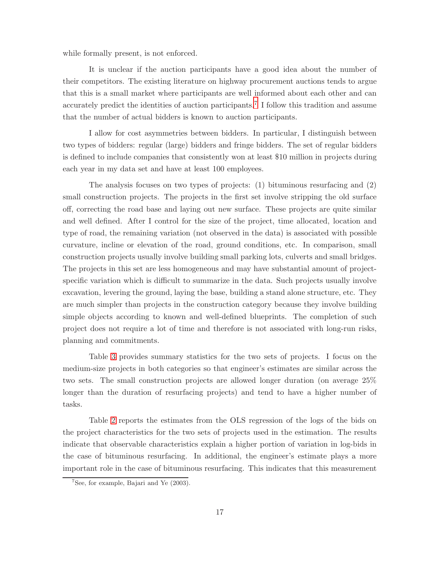while formally present, is not enforced.

It is unclear if the auction participants have a good idea about the number of their competitors. The existing literature on highway procurement auctions tends to argue that this is a small market where participants are well informed about each other and can accurately predict the identities of auction participants.<sup>7</sup> I follow this tradition and assume that the number of actual bidders is known to auction participants.

I allow for cost asymmetries between bidders. In particular,I distinguish between two types of bidders: regular (large) bidders and fringe bidders. The set of regular bidders is defined to include companies that consistently won at least \$10 million in projects during each year in my data set and have at least 100 employees.

The analysis focuses on two types of projects: (1) bituminous resurfacing and (2) small construction projects. The projects in the first set involve stripping the old surface off, correcting the road base and laying out new surface. These projects are quite similar and well defined. After I control for the size of the project, time allocated, location and type of road, the remaining variation (not observed in the data) is associated with possible curvature, incline or elevation of the road, ground conditions, etc. In comparison, small construction projects usually involve building small parking lots, culverts and small bridges. The projects in this set are less homogeneous and may have substantial amount of projectspecific variation which is difficult to summarize in the data. Such projects usually involve excavation, levering the ground, laying the base, building a stand alone structure, etc. They are much simpler than projects in the construction category because they involve building simple objects according to known and well-defined blueprints. The completion of such project does not require a lot of time and therefore is not associated with long-run risks, planning and commitments.

Table [3](#page-22-0) provides summary statistics for the two sets of projects. I focus on the medium-size projects in both categories so that engineer's estimates are similar across the two sets. The small construction projects are allowed longer duration (on average 25% longer than the duration of resurfacing projects) and tend to have a higher number of tasks.

Table [2](#page-19-0) reports the estimates from the OLS regression of the logs of the bids on the project characteristics for the two sets of projects used in the estimation. The results indicate that observable characteristics explain a higher portion of variation in log-bids in the case of bituminous resurfacing. In additional, the engineer's estimate plays a more important role in the case of bituminous resurfacing. This indicates that this measurement

<sup>7</sup>See, for example, Bajari and Ye (2003).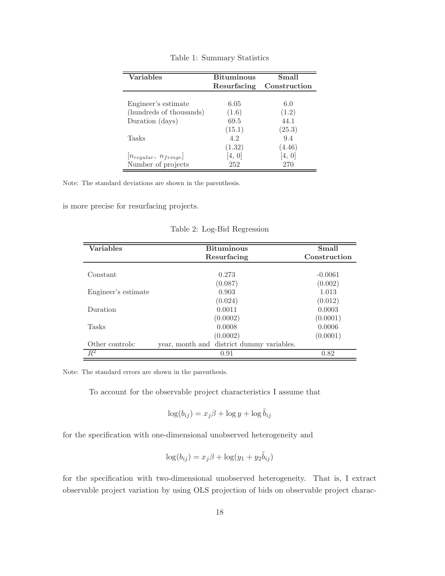| <b>Variables</b>            | <b>Bituminous</b> | Small        |
|-----------------------------|-------------------|--------------|
|                             | Resurfacing       | Construction |
|                             |                   |              |
| Engineer's estimate         | 6.05              | 6.0          |
| (hundreds of thousands)     | (1.6)             | (1.2)        |
| Duration (days)             | 69.5              | 44 1         |
|                             | (15.1)            | (25.3)       |
| Tasks                       | 42                | 9.4          |
|                             | (1.32)            | (4.46)       |
| $[n_{regular}, n_{fringe}]$ | 4, O              | 4, 0         |
| Number of projects          | 252               | 270          |

Table 1: Summary Statistics

Note: The standard deviations are shown in the parenthesis.

is more precise for resurfacing projects.

| <b>Variables</b>    | <b>Bituminous</b>                         | Small        |
|---------------------|-------------------------------------------|--------------|
|                     | Resurfacing                               | Construction |
|                     |                                           |              |
| Constant            | 0.273                                     | $-0.0061$    |
|                     | (0.087)                                   | (0.002)      |
| Engineer's estimate | 0.903                                     | 1.013        |
|                     | (0.024)                                   | (0.012)      |
| Duration            | 0.0011                                    | 0.0003       |
|                     | (0.0002)                                  | (0.0001)     |
| Tasks               | 0.0008                                    | 0.0006       |
|                     | (0.0002)                                  | (0.0001)     |
| Other controls:     | year, month and district dummy variables. |              |
| $R^2$               | 0.91                                      | 0.82         |

<span id="page-19-0"></span>Table 2: Log-Bid Regression

Note: The standard errors are shown in the parenthesis.

To account for the observable project characteristics I assume that

$$
\log(b_{ij}) = x_j \beta + \log y + \log \tilde{b}_{ij}
$$

for the specification with one-dimensional unobserved heterogeneity and

$$
\log(b_{ij}) = x_j \beta + \log(y_1 + y_2 \tilde{b}_{ij})
$$

for the specification with two-dimensional unobserved heterogeneity. That is, I extract observable project variation by using OLS projection of bids on observable project charac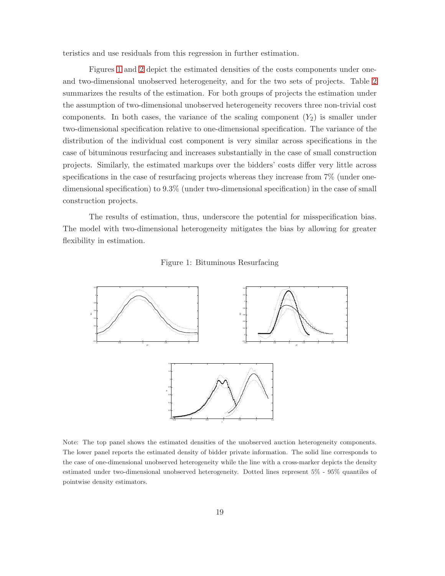teristics and use residuals from this regression in further estimation.

Figures [1](#page-20-0) and [2](#page-21-0) depict the estimated densities of the costs components under one-and two-dimensional unobserved heterogeneity, and for the two sets of projects. Table [2](#page-21-0) summarizes the results of the estimation. For both groups of projects the estimation under the assumption of two-dimensional unobserved heterogeneity recovers three non-trivial cost components. In both cases, the variance of the scaling component  $(Y_2)$  is smaller under two-dimensional specification relative to one-dimensional specification. The variance of the distribution of the individual cost component is very similar across specifications in the case of bituminous resurfacing and increases substantially in the case of small construction projects. Similarly, the estimated markups over the bidders' costs differ very little across specifications in the case of resurfacing projects whereas they increase from 7% (under onedimensional specification) to 9.3% (under two-dimensional specification) in the case of small construction projects.

The results of estimation, thus, underscore the potential for misspecification bias. The model with two-dimensional heterogeneity mitigates the bias by allowing for greater flexibility in estimation.

<span id="page-20-0"></span>



Note: The top panel shows the estimated densities of the unobserved auction heterogeneity components. The lower panel reports the estimated density of bidder private information. The solid line corresponds to the case of one-dimensional unobserved heterogeneity while the line with a cross-marker depicts the density estimated under two-dimensional unobserved heterogeneity. Dotted lines represent 5% - 95% quantiles of pointwise density estimators.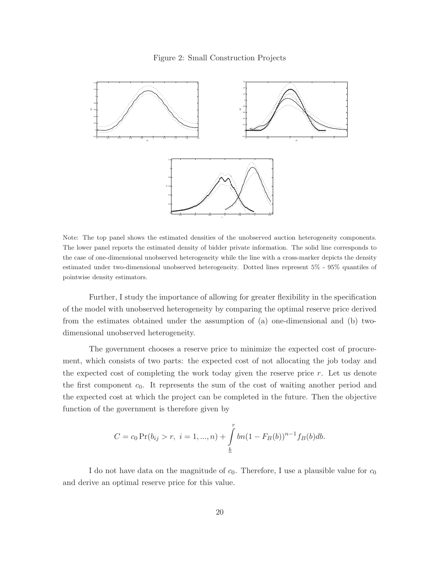<span id="page-21-0"></span>

Note: The top panel shows the estimated densities of the unobserved auction heterogeneity components. The lower panel reports the estimated density of bidder private information. The solid line corresponds to the case of one-dimensional unobserved heterogeneity while the line with a cross-marker depicts the density estimated under two-dimensional unobserved heterogeneity. Dotted lines represent 5% - 95% quantiles of pointwise density estimators.

Further,I study the importance of allowing for greater flexibility in the specification of the model with unobserved heterogeneity by comparing the optimal reserve price derived from the estimates obtained under the assumption of (a) one-dimensional and (b) twodimensional unobserved heterogeneity.

The government chooses a reserve price to minimize the expected cost of procurement, which consists of two parts: the expected cost of not allocating the job today and the expected cost of completing the work today given the reserve price  $r$ . Let us denote the first component  $c_0$ . It represents the sum of the cost of waiting another period and the expected cost at which the project can be completed in the future. Then the objective function of the government is therefore given by

$$
C = c_0 \Pr(b_{ij} > r, \ i = 1, ..., n) + \int_{\underline{b}}^{r} b n (1 - F_B(b))^{n-1} f_B(b) db.
$$

I do not have data on the magnitude of  $c_0$ . Therefore, I use a plausible value for  $c_0$ and derive an optimal reserve price for this value.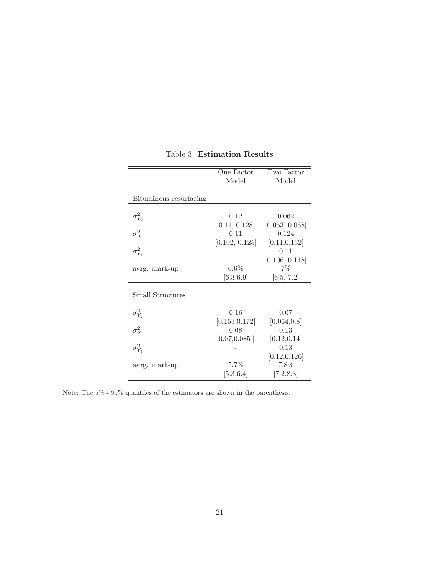|                         | One Factor             | Two Factor              |
|-------------------------|------------------------|-------------------------|
|                         | Model                  | Model                   |
| Bituminous resurfacing  |                        |                         |
| $\sigma_{Y_2}^2$        | 0.12<br>[0.11, 0.128]  | 0.062<br>[0.053, 0.068] |
| $\sigma_X^2$            | 0.11                   | 0.124                   |
| $\sigma_{Y_1}^2$        | [0.102, 0.125]         | [0.11, 0.132]<br>0.11   |
| avrg. mark-up           | $6.6\%$                | [0.106, 0.118]<br>$7\%$ |
|                         | [6.3, 6.9]             | [6.5, 7.2]              |
| <b>Small Structures</b> |                        |                         |
| $\sigma_{Y_2}^2$        | 0.16                   | 0.07                    |
| $\sigma_X^2$            | [0.153, 0.172]<br>0.08 | [0.064, 0.8]<br>0.13    |
| $\sigma_{Y_1}^2$        | [0.07, 0.085]          | [0.12, 0.14]<br>0.13    |
|                         |                        | [0.12, 0.126]           |
| avrg. mark-up           | 5.7%<br>[5.3, 6.4]     | 7.8%<br>[7.2, 8.3]      |

<span id="page-22-0"></span>Table 3: **Estimation Results**

Note: The 5% - 95% quantiles of the estimators are shown in the parenthesis.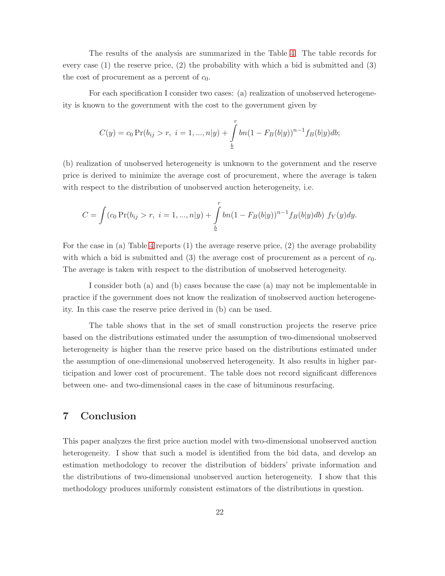The results of the analysis are summarized in the Table [4.](#page-24-0) The table records for every case (1) the reserve price,(2) the probability with which a bid is submitted and (3) the cost of procurement as a percent of  $c_0$ .

For each specification I consider two cases: (a) realization of unobserved heterogeneity is known to the government with the cost to the government given by

$$
C(y) = c_0 \Pr(b_{ij} > r, \ i = 1, ..., n|y) + \int_{\underline{b}}^{r} bn(1 - F_B(b|y))^{n-1} f_B(b|y) db;
$$

(b) realization of unobserved heterogeneity is unknown to the government and the reserve price is derived to minimize the average cost of procurement, where the average is taken with respect to the distribution of unobserved auction heterogeneity, i.e.

$$
C = \int (c_0 \Pr(b_{ij} > r, \ i = 1, ..., n | y) + \int_{\frac{b}{2}}^{r} b n (1 - F_B(b|y))^{n-1} f_B(b|y) db) f_Y(y) dy.
$$

For the case in (a) Table [4](#page-24-0) reports  $(1)$  the average reserve price,  $(2)$  the average probability with which a bid is submitted and (3) the average cost of procurement as a percent of  $c_0$ . The average is taken with respect to the distribution of unobserved heterogeneity.

I consider both (a) and (b) cases because the case (a) may not be implementable in practice if the government does not know the realization of unobserved auction heterogeneity. In this case the reserve price derived in (b) can be used.

The table shows that in the set of small construction projects the reserve price based on the distributions estimated under the assumption of two-dimensional unobserved heterogeneity is higher than the reserve price based on the distributions estimated under the assumption of one-dimensional unobserved heterogeneity. It also results in higher participation and lower cost of procurement. The table does not record significant differences between one- and two-dimensional cases in the case of bituminous resurfacing.

## **7 Conclusion**

This paper analyzes the first price auction model with two-dimensional unobserved auction heterogeneity. I show that such a model is identified from the bid data, and develop an estimation methodology to recover the distribution of bidders' private information and the distributions of two-dimensional unobserved auction heterogeneity. I show that this methodology produces uniformly consistent estimators of the distributions in question.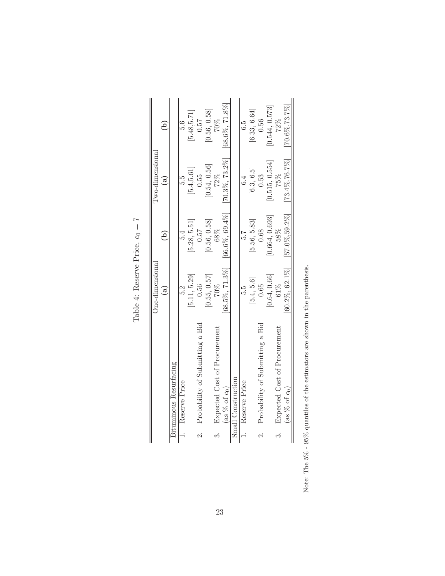|        |                                 | One-dimensiona     |                    | Two-dimensional        |                    |
|--------|---------------------------------|--------------------|--------------------|------------------------|--------------------|
|        |                                 | ල $\Xi$            | ê                  | $\widehat{\mathbf{a}}$ | ව                  |
|        | Bituminous Resurfacing          |                    |                    |                        |                    |
|        | 1. Reserve Price                | 52                 | 5.4                | 5.G                    | 5.G                |
|        |                                 | [5.11, 5.29]       | [5.28, 5.51]       | 5.4, 5.61              | [5.48, 5.71]       |
| ن<br>آ | Probability of Submitting a Bid | 0.56               | 0.57               | 0.55                   | 0.57               |
|        |                                 | [0.55, 0.57]       | [0.56, 0.58]       | [0.54, 0.56]           | [0.56, 0.58]       |
|        | Expected Cost of Procurement    | 70%                | 68%                | 72%                    | 70%                |
|        | (as $%$ of $c0$ )               | $[68.5\%, 71.3\%]$ | $[66.6\%, 69.4\%]$ | $[70.3\%, 73.2\%]$     | 68.6%, 71.8%       |
|        | Small Construction              |                    |                    |                        |                    |
|        | 1. Reserve Price                | 5.io               | 5.7                | $\ddot{6}$             | G.5                |
|        |                                 | [5.4, 5.6]         | [5.56, 5.83]       | [6.3, 6.5]             | [6.33, 6.64]       |
|        | Probability of Submitting a Bid | 0.65               | 0.68               | 0.53                   | 0.56               |
|        |                                 | [0.64, 0.66]       | [0.664, 0.693]     | [0.515, 0.554]         | 0.544, 0.573       |
|        | Expected Cost of Procurement    | 61%                | 58%                | 75%                    | 72%                |
|        | (as $%$ of $c0$ )               | $[60.2\%, 62.1\%]$ | $[57.0\%, 59.2\%]$ | $[73.4\%, 76.7\%]$     | $[70.6\%, 73.7\%]$ |

Table 4: Reserve Price,  $c_0=7$ Table 4: Reserve Price,  $c_0 = 7$ 

<span id="page-24-0"></span>Note: The  $5\%$  -  $95\%$  quantiles of the estimators are shown in the parenthesis. Note: The 5% - 95% quantiles of the estimators are shown in the parenthesis.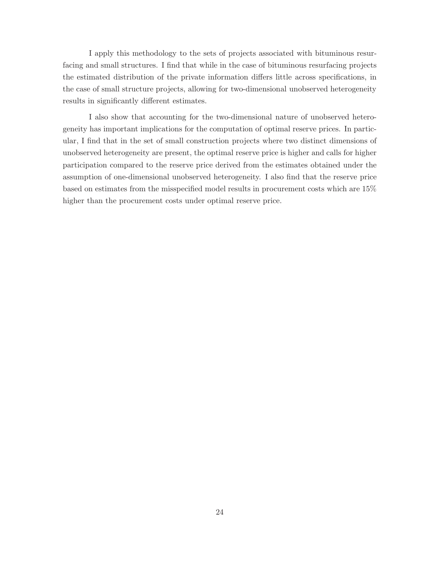I apply this methodology to the sets of projects associated with bituminous resurfacing and small structures. I find that while in the case of bituminous resurfacing projects the estimated distribution of the private information differs little across specifications, in the case of small structure projects, allowing for two-dimensional unobserved heterogeneity results in significantly different estimates.

I also show that accounting for the two-dimensional nature of unobserved heterogeneity has important implications for the computation of optimal reserve prices. In particular,I find that in the set of small construction projects where two distinct dimensions of unobserved heterogeneity are present, the optimal reserve price is higher and calls for higher participation compared to the reserve price derived from the estimates obtained under the assumption of one-dimensional unobserved heterogeneity. I also find that the reserve price based on estimates from the misspecified model results in procurement costs which are 15% higher than the procurement costs under optimal reserve price.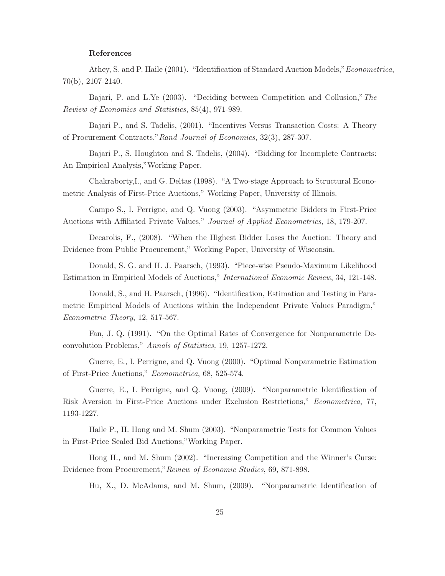#### **References**

Athey,S. and P. Haile (2001). "Identification of Standard Auction Models,"Econometrica, 70(b),2107-2140.

Bajari, P. and L.Ye (2003). "Deciding between Competition and Collusion," The Review of Economics and Statistics, 85(4), 971-989.

Bajari P., and S. Tadelis, (2001). "Incentives Versus Transaction Costs: A Theory of Procurement Contracts,"Rand Journal of Economics,32(3),287-307.

Bajari P., S. Houghton and S. Tadelis, (2004). "Bidding for Incomplete Contracts: An Empirical Analysis,"Working Paper.

Chakraborty,I., and G. Deltas (1998). "A Two-stage Approach to Structural Econometric Analysis of First-Price Auctions," Working Paper, University of Illinois.

Campo S., I. Perrigne, and Q. Vuong (2003). "Asymmetric Bidders in First-Price Auctions with Affiliated Private Values," Journal of Applied Econometrics,18,179-207.

Decarolis,F.,(2008). "When the Highest Bidder Loses the Auction: Theory and Evidence from Public Procurement," Working Paper, University of Wisconsin.

Donald, S. G. and H. J. Paarsch, (1993). "Piece-wise Pseudo-Maximum Likelihood Estimation in Empirical Models of Auctions," International Economic Review,34,121-148.

Donald, S., and H. Paarsch, (1996). "Identification, Estimation and Testing in Parametric Empirical Models of Auctions within the Independent Private Values Paradigm," Econometric Theory, 12, 517-567.

Fan,J. Q. (1991). "On the Optimal Rates of Convergence for Nonparametric Deconvolution Problems," Annals of Statistics, 19,1257-1272.

Guerre,E.,I. Perrigne,and Q. Vuong (2000). "Optimal Nonparametric Estimation of First-Price Auctions," Econometrica,68,525-574.

Guerre, E., I. Perrigne, and Q. Vuong, (2009). "Nonparametric Identification of Risk Aversion in First-Price Auctions under Exclusion Restrictions," Econometrica,77, 1193-1227.

Haile P.,H. Hong and M. Shum (2003). "Nonparametric Tests for Common Values in First-Price Sealed Bid Auctions,"Working Paper.

Hong H., and M. Shum (2002). "Increasing Competition and the Winner's Curse: Evidence from Procurement," Review of Economic Studies, 69, 871-898.

Hu, X., D. McAdams, and M. Shum, (2009). "Nonparametric Identification of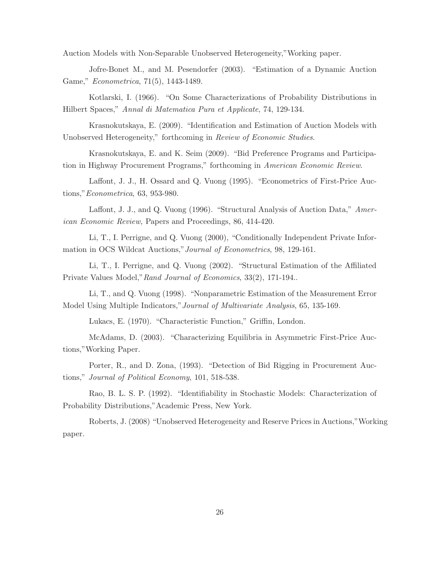Auction Models with Non-Separable Unobserved Heterogeneity,"Working paper.

Jofre-Bonet M., and M. Pesendorfer (2003). "Estimation of a Dynamic Auction Game," *Econometrica*, 71(5), 1443-1489.

Kotlarski,I. (1966). "On Some Characterizations of Probability Distributions in Hilbert Spaces," Annal di Matematica Pura et Applicate,74,129-134.

Krasnokutskaya,E. (2009). "Identification and Estimation of Auction Models with Unobserved Heterogeneity," forthcoming in Review of Economic Studies.

Krasnokutskaya,E. and K. Seim (2009). "Bid Preference Programs and Participation in Highway Procurement Programs," forthcoming in American Economic Review.

Laffont, J. J., H. Ossard and Q. Vuong (1995). "Econometrics of First-Price Auctions,"Econometrica,63,953-980.

Laffont, J. J., and Q. Vuong (1996). "Structural Analysis of Auction Data," American Economic Review, Papers and Proceedings, 86, 414-420.

Li, T., I. Perrigne, and Q. Vuong (2000), "Conditionally Independent Private Information in OCS Wildcat Auctions,"Journal of Econometrics,98,129-161.

Li, T., I. Perrigne, and Q. Vuong (2002). "Structural Estimation of the Affiliated Private Values Model," Rand Journal of Economics, 33(2), 171-194..

Li,T.,and Q. Vuong (1998). "Nonparametric Estimation of the Measurement Error Model Using Multiple Indicators,"Journal of Multivariate Analysis,65,135-169.

Lukacs, E. (1970). "Characteristic Function," Griffin, London.

McAdams,D. (2003). "Characterizing Equilibria in Asymmetric First-Price Auctions,"Working Paper.

Porter, R., and D. Zona, (1993). "Detection of Bid Rigging in Procurement Auctions," Journal of Political Economy, 101, 518-538.

Rao,B. L. S. P. (1992). "Identifiability in Stochastic Models: Characterization of Probability Distributions,"Academic Press, New York.

Roberts,J. (2008) "Unobserved Heterogeneity and Reserve Prices in Auctions,"Working paper.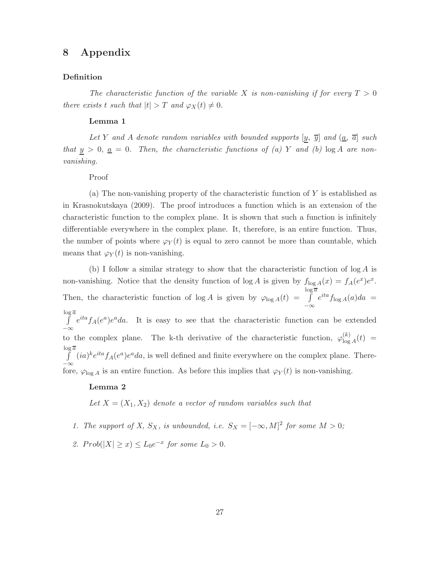## **8 Appendix**

#### **Definition**

The characteristic function of the variable X is non-vanishing if for every  $T > 0$ there exists t such that  $|t| > T$  and  $\varphi_X(t) \neq 0$ .

#### **Lemma 1**

Let Y and A denote random variables with bounded supports  $[y, \overline{y}]$  and  $(\underline{a}, \overline{a}]$  such that  $y > 0$ ,  $\underline{a} = 0$ . Then, the characteristic functions of (a) Y and (b)  $\log A$  are nonvanishing.

#### Proof

(a) The non-vanishing property of the characteristic function of  $Y$  is established as in Krasnokutskaya (2009). The proof introduces a function which is an extension of the characteristic function to the complex plane. It is shown that such a function is infinitely differentiable everywhere in the complex plane. It, therefore, is an entire function. Thus, the number of points where  $\varphi_Y(t)$  is equal to zero cannot be more than countable, which means that  $\varphi_Y(t)$  is non-vanishing.

(b) I follow a similar strategy to show that the characteristic function of  $\log A$  is non-vanishing. Notice that the density function of  $\log A$  is given by  $f_{\log A}(x) = f_A(e^x)e^x$ . Then, the characteristic function of  $\log A$  is given by  $\varphi_{\log A}(t) = \int_0^{\log \overline{a}}$ −∞  $e^{ita} f_{\log A}(a) da =$  $\log \overline{a}$ −∞  $e^{ita} f_A(e^a)e^a da$ . It is easy to see that the characteristic function can be extended to the complex plane. The k-th derivative of the characteristic function,  $\varphi_{\log A}^{(k)}(t)$  =  $\int_{0}^{\log \overline{a}} (ia)^{k} e^{ita} f_{A}(e^{a}) e^{a} da$ , is well defined and finite everywhere on the complex plane. There- $\bar{\ }$  = ∞ fore,  $\varphi_{\log A}$  is an entire function. As before this implies that  $\varphi_Y(t)$  is non-vanishing.

#### **Lemma 2**

Let  $X = (X_1, X_2)$  denote a vector of random variables such that

- 1. The support of X,  $S_X$ , is unbounded, i.e.  $S_X = [-\infty, M]^2$  for some  $M > 0$ ;
- 2.  $Prob(|X| \ge x) \le L_0 e^{-x}$  for some  $L_0 > 0$ .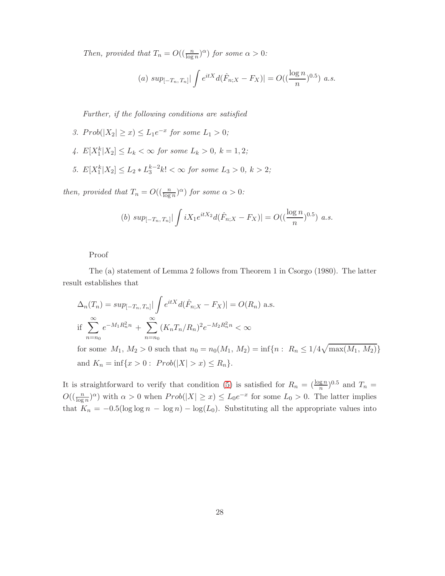Then, provided that  $T_n = O((\frac{n}{\log n})^{\alpha})$  for some  $\alpha > 0$ :

(a) 
$$
\sup_{[-T_n, T_n]} \left| \int e^{itX} d(\hat{F}_{n,X} - F_X) \right| = O((\frac{\log n}{n})^{0.5}) a.s.
$$

Further, if the following conditions are satisfied

- 3.  $Prob(|X_2| \geq x) \leq L_1 e^{-x}$  for some  $L_1 > 0$ ;
- 4.  $E[X_1^k | X_2] \le L_k < \infty$  for some  $L_k > 0$ ,  $k = 1, 2$ ;
- 5.  $E[X_1^k|X_2] \le L_2 * L_3^{k-2} k! < \infty$  for some  $L_3 > 0, k > 2$ ;

then, provided that  $T_n = O((\frac{n}{\log n})^{\alpha})$  for some  $\alpha > 0$ :

(b) 
$$
sup_{[-T_n, T_n]} \left| \int iX_1 e^{itX_2} d(\hat{F}_{n,X} - F_X) \right| = O((\frac{\log n}{n})^{0.5})
$$
 a.s.

Proof

The (a) statement of Lemma 2 follows from Theorem 1 in Csorgo (1980). The latter result establishes that

$$
\Delta_n(T_n) = \sup_{[-T_n, T_n]} \left| \int e^{itX} d(\hat{F}_{n;X} - F_X) \right| = O(R_n) \text{ a.s.}
$$
  
if 
$$
\sum_{n=n_0}^{\infty} e^{-M_1 R_n^2 n} + \sum_{n=n_0}^{\infty} (K_n T_n / R_n)^2 e^{-M_2 R_n^2 n} < \infty
$$

for some  $M_1, M_2 > 0$  such that  $n_0 = n_0(M_1, M_2) = \inf\{n : R_n \leq 1/4\sqrt{\max(M_1, M_2)}\}$ and  $K_n = \inf\{x > 0 : Prob(|X| > x) \le R_n\}.$ 

It is straightforward to verify that condition (5) is satisfied for  $R_n = (\frac{\log n}{n})^{0.5}$  and  $T_n =$  $O((\frac{n}{\log n})^{\alpha})$  with  $\alpha > 0$  when  $Prob(|X| \geq x) \leq L_0 e^{-x}$  for some  $L_0 > 0$ . The latter implies that  $K_n = -0.5(\log \log n - \log n) - \log(L_0)$ . Substituting all the appropriate values into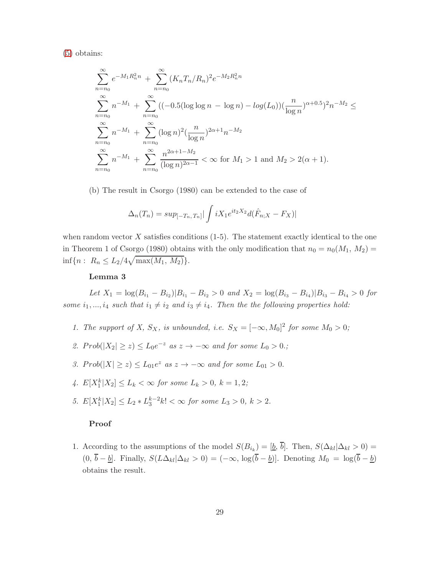(5) obtains:

$$
\sum_{n=n_0}^{\infty} e^{-M_1 R_n^2 n} + \sum_{n=n_0}^{\infty} (K_n T_n / R_n)^2 e^{-M_2 R_n^2 n}
$$
  
\n
$$
\sum_{n=n_0}^{\infty} n^{-M_1} + \sum_{n=n_0}^{\infty} ((-0.5(\log \log n - \log n) - \log(L_0))(\frac{n}{\log n})^{\alpha + 0.5})^2 n^{-M_2} \le
$$
  
\n
$$
\sum_{n=n_0}^{\infty} n^{-M_1} + \sum_{n=n_0}^{\infty} (\log n)^2 (\frac{n}{\log n})^{2\alpha + 1} n^{-M_2}
$$
  
\n
$$
\sum_{n=n_0}^{\infty} n^{-M_1} + \sum_{n=n_0}^{\infty} \frac{n^{2\alpha + 1 - M_2}}{(\log n)^{2\alpha - 1}} < \infty \text{ for } M_1 > 1 \text{ and } M_2 > 2(\alpha + 1).
$$

(b) The result in Csorgo (1980) can be extended to the case of

$$
\Delta_n(T_n) = \sup_{[-T_n, T_n]} |\int iX_1 e^{it_2 X_2} d(\hat{F}_{n;X} - F_X)|
$$

when random vector  $X$  satisfies conditions (1-5). The statement exactly identical to the one in Theorem 1 of Csorgo (1980) obtains with the only modification that  $n_0 = n_0(M_1, M_2)$  $\inf\{n: R_n \leq L_2/4\sqrt{\max(M_1, M_2)}\}.$ 

#### **Lemma 3**

Let  $X_1 = \log(B_{i_1} - B_{i_2})|B_{i_1} - B_{i_2} > 0$  and  $X_2 = \log(B_{i_3} - B_{i_4})|B_{i_3} - B_{i_4} > 0$  for some  $i_1, ..., i_4$  such that  $i_1 \neq i_2$  and  $i_3 \neq i_4$ . Then the the following properties hold:

- 1. The support of X,  $S_X$ , is unbounded, i.e.  $S_X = [-\infty, M_0]^2$  for some  $M_0 > 0$ ;
- 2.  $Prob(|X_2| \geq z) \leq L_0 e^{-z}$  as  $z \to -\infty$  and for some  $L_0 > 0$ .;
- 3.  $Prob(|X| \ge z) \le L_{01}e^z$  as  $z \to -\infty$  and for some  $L_{01} > 0$ .
- 4.  $E[X_1^k | X_2] \le L_k < \infty$  for some  $L_k > 0$ ,  $k = 1, 2$ ;
- 5.  $E[X_1^k | X_2] \le L_2 * L_3^{k-2} k! < \infty$  for some  $L_3 > 0, k > 2$ .

#### **Proof**

1. According to the assumptions of the model  $S(B_{i_k})=[\underline{b}, \overline{b}]$ . Then,  $S(\Delta_{kl}|\Delta_{kl}>0)$  $(0, \bar{b} - \underline{b}]$ . Finally,  $S(L\Delta_{kl}|\Delta_{kl} > 0) = (-\infty, \log(\bar{b} - \underline{b})]$ . Denoting  $M_0 = \log(\bar{b} - \underline{b})$ obtains the result.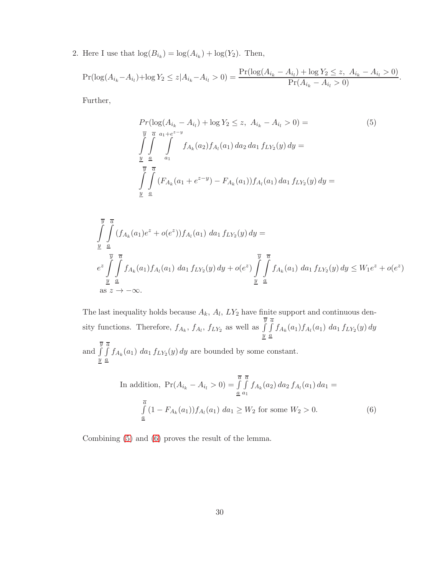2. Here I use that  $\log(B_{i_k}) = \log(A_{i_k}) + \log(Y_2)$ . Then,

$$
\Pr(\log(A_{i_k} - A_{i_l}) + \log Y_2 \le z | A_{i_k} - A_{i_l} > 0) = \frac{\Pr(\log(A_{i_k} - A_{i_l}) + \log Y_2 \le z, A_{i_k} - A_{i_l} > 0)}{\Pr(A_{i_k} - A_{i_l} > 0)}.
$$

Further,

<span id="page-31-0"></span>
$$
Pr(\log(A_{i_k} - A_{i_l}) + \log Y_2 \le z, A_{i_k} - A_{i_l} > 0) =
$$
\n
$$
\int_{\frac{y}{2}}^{\frac{\pi}{2}} \int_{a_1}^{a_1 + e^{z-y}} f_{A_k}(a_2) f_{A_l}(a_1) \, da_2 \, da_1 \, f_{LY_2}(y) \, dy =
$$
\n
$$
\int_{\frac{y}{2}}^{\frac{\pi}{2}} \int_{\frac{\pi}{2}}^{\frac{\pi}{2}} (F_{A_k}(a_1 + e^{z-y}) - F_{A_k}(a_1)) f_{A_l}(a_1) \, da_1 \, f_{LY_2}(y) \, dy =
$$
\n
$$
\int_{\frac{y}{2}}^{\frac{\pi}{2}} (F_{A_k}(a_1 + e^{z-y}) - F_{A_k}(a_1)) f_{A_l}(a_1) \, da_1 \, f_{LY_2}(y) \, dy =
$$
\n
$$
(5)
$$

$$
\int_{\frac{y}{2}}^{\frac{y}{2}} \int_{\frac{a}{2}}^{\frac{a}{2}} (f_{A_k}(a_1)e^z + o(e^z)) f_{A_l}(a_1) \, da_1 \, f_{LY_2}(y) \, dy =
$$
\n
$$
e^z \int_{\frac{y}{2}}^{\frac{y}{2}} \int_{\frac{a}{2}}^{\frac{a}{2}} f_{A_k}(a_1) f_{A_l}(a_1) \, da_1 \, f_{LY_2}(y) \, dy + o(e^z) \int_{\frac{y}{2}}^{\frac{y}{2}} \int_{\frac{a}{2}}^{\frac{a}{2}} f_{A_k}(a_1) \, da_1 \, f_{LY_2}(y) \, dy \le W_1 e^z + o(e^z)
$$
\nas  $z \to -\infty$ .

The last inequality holds because  $A_k$ ,  $A_l$ ,  $LY_2$  have finite support and continuous density functions. Therefore,  $f_{A_k}$ ,  $f_{A_l}$ ,  $f_{LY_2}$  as well as  $\overline{y}$  $\overline{y}$  $\overline{a}$  $\int_{a} f_{A_k}(a_1) f_{A_l}(a_1) da_1 f_{LY_2}(y) dy$ 

and  $\overline{y}$  $\overline{y}$  $\overline{a}$  $\int_{\mathcal{A}} f_{A_k}(a_1) da_1 f_{LY_2}(y) dy$  are bounded by some constant.

<span id="page-31-1"></span>In addition, 
$$
Pr(A_{i_k} - A_{i_l} > 0) = \int_{\underline{a}}^{\overline{a}} \int_{a_1}^{\overline{a}} f_{A_k}(a_2) \, da_2 \, f_{A_l}(a_1) \, da_1 =
$$
  

$$
\int_{\underline{a}}^{\overline{a}} (1 - F_{A_k}(a_1)) f_{A_l}(a_1) \, da_1 \ge W_2 \text{ for some } W_2 > 0.
$$
 (6)

Combining [\(5\)](#page-31-0) and [\(6\)](#page-31-1) proves the result of the lemma.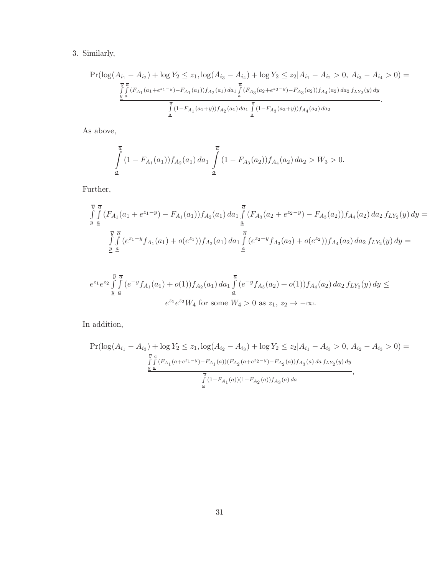## 3. Similarly,

$$
\Pr(\log(A_{i_1} - A_{i_2}) + \log Y_2 \le z_1, \log(A_{i_3} - A_{i_4}) + \log Y_2 \le z_2 | A_{i_1} - A_{i_2} > 0, A_{i_3} - A_{i_4} > 0) =
$$
  

$$
\frac{\int_{\frac{y}{2}}^{\frac{y}{2}} (F_{A_1}(a_1 + e^{z_1 - y}) - F_{A_1}(a_1)) f_{A_2}(a_1) da_1 \int_{\frac{a}{2}}^{\frac{y}{2}} (F_{A_3}(a_2 + e^{z_2 - y}) - F_{A_3}(a_2)) f_{A_4}(a_2) da_2 f_{LY_2}(y) dy}{\int_{\frac{a}{2}}^{\frac{a}{2}} (1 - F_{A_1}(a_1 + y)) f_{A_2}(a_1) da_1 \int_{\frac{a}{2}}^{\frac{a}{2}} (1 - F_{A_3}(a_2 + y)) f_{A_4}(a_2) da_2}.
$$

As above,

$$
\int_{\underline{a}}^{\overline{a}} (1 - F_{A_1}(a_1)) f_{A_2}(a_1) \, da_1 \int_{\underline{a}}^{\overline{a}} (1 - F_{A_3}(a_2)) f_{A_4}(a_2) \, da_2 > W_3 > 0.
$$

Further,

$$
\overline{y} \overline{a}
$$
\n
$$
\int_{\underline{y}} \int_{\underline{a}} (F_{A_1}(a_1 + e^{z_1-y}) - F_{A_1}(a_1)) f_{A_2}(a_1) da_1 \int_{\underline{a}} (F_{A_3}(a_2 + e^{z_2-y}) - F_{A_3}(a_2)) f_{A_4}(a_2) da_2 f_{LY_2}(y) dy =
$$
\n
$$
\overline{y} \overline{a}
$$
\n
$$
\int_{\underline{a}} \int_{\underline{a}} (e^{z_1-y} f_{A_1}(a_1) + o(e^{z_1})) f_{A_2}(a_1) da_1 \int_{\underline{a}} (e^{z_2-y} f_{A_3}(a_2) + o(e^{z_2})) f_{A_4}(a_2) da_2 f_{LY_2}(y) dy =
$$

$$
e^{z_1}e^{z_2}\int\limits_{\underline{y}}^{\overline{y}}\int\limits_{\underline{a}}^{\overline{a}}(e^{-y}f_{A_1}(a_1)+o(1))f_{A_2}(a_1) \, da_1 \int\limits_{\underline{a}}^{\overline{a}}(e^{-y}f_{A_3}(a_2)+o(1))f_{A_4}(a_2) \, da_2 \, f_{LY_2}(y) \, dy \leq
$$

$$
e^{z_1}e^{z_2}W_4 \text{ for some } W_4 > 0 \text{ as } z_1, \, z_2 \to -\infty.
$$

In addition,

$$
\Pr(\log(A_{i_1} - A_{i_3}) + \log Y_2 \le z_1, \log(A_{i_2} - A_{i_3}) + \log Y_2 \le z_2 | A_{i_1} - A_{i_3} > 0, A_{i_2} - A_{i_3} > 0) =
$$
  

$$
\frac{\int_{J}^{\overline{y}} \int_{S} (F_{A_1}(a + e^{z_1 - y}) - F_{A_1}(a))(F_{A_2}(a + e^{z_2 - y}) - F_{A_2}(a))f_{A_3}(a) da f_{LY_2}(y) dy}{\frac{\pi}{4}}}{\int_{\underline{a}}^{\overline{a}} (1 - F_{A_1}(a))(1 - F_{A_2}(a))f_{A_3}(a) da},
$$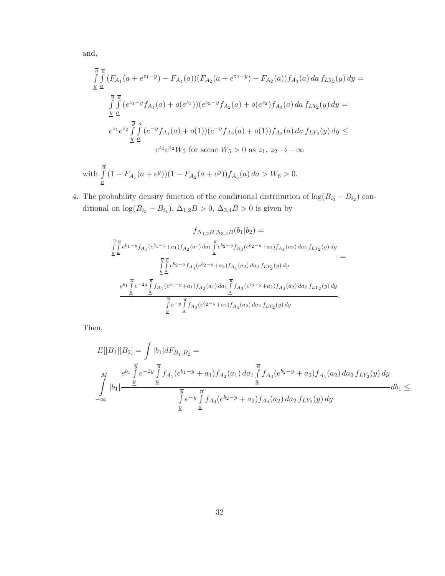and,

$$
\overline{y} \overline{a}
$$
\n
$$
\int_{\underline{y}} \int_{\underline{a}} \overline{f} (F_{A_1}(a + e^{z_1 - y}) - F_{A_1}(a)) (F_{A_2}(a + e^{z_2 - y}) - F_{A_2}(a)) f_{A_3}(a) da f_{LY_2}(y) dy =
$$
\n
$$
\frac{\overline{y} \overline{a}}{\int_{\underline{y}} \underline{a}} (e^{z_1 - y} f_{A_1}(a) + o(e^{z_1})) (e^{z_2 - y} f_{A_2}(a) + o(e^{z_2}) f_{A_3}(a) da f_{LY_2}(y) dy =
$$
\n
$$
e^{z_1} e^{z_2} \int_{\underline{y}} \int_{\underline{a}} (e^{-y} f_{A_1}(a) + o(1)) (e^{-y} f_{A_2}(a) + o(1)) f_{A_3}(a) da f_{LY_2}(y) dy \le
$$
\n
$$
e^{z_1} e^{z_2} W_5 \text{ for some } W_5 > 0 \text{ as } z_1, z_2 \to -\infty
$$

with 
$$
\int_{\underline{a}}^{\overline{a}} (1 - F_{A_1}(a + e^y))(1 - F_{A_2}(a + e^y)) f_{A_3}(a) \, da > W_6 > 0.
$$

4. The probability density function of the conditional distribution of  $log(B_{i_1} - B_{i_2})$  conditional on  $log(B_{i_3} - B_{i_4}), \Delta_{1,2}B > 0, \Delta_{3,4}B > 0$  is given by

$$
f_{\Delta_{1,2}B|\Delta_{3,4}B}(b_1|b_2) =
$$
\n
$$
\frac{\int \int_{\frac{y}{2}}^{\frac{y}{2}} e^{b_1-y} f_{A_1}(e^{b_1-y}+a_1) f_{A_2}(a_1) da_1 \int_{\frac{a}{2}}^{\frac{y}{2}} e^{b_2-y} f_{A_3}(e^{b_2-y}+a_2) f_{A_4}(a_2) da_2 f_{LY_2}(y) dy}{\int \int_{\frac{y}{2}}^{\frac{y}{2}} e^{b_2-y} f_{A_3}(e^{b_2-y}+a_2) f_{A_4}(a_2) da_2 f_{LY_2}(y) dy} =
$$
\n
$$
\frac{e^{b_1} \int_{\frac{y}{2}}^{\frac{y}{2}} e^{-2y} \int_{\frac{a}{2}}^{\frac{a}{2}} f_{A_1}(e^{b_1-y}+a_1) f_{A_2}(a_1) da_1 \int_{\frac{a}{2}}^{\frac{a}{2}} f_{A_3}(e^{b_2-y}+a_2) f_{A_4}(a_2) da_2 f_{LY_2}(y) dy}{\int \frac{y}{2}}.
$$

Then,

$$
E[|B_1||B_2] = \int |b_1| dF_{B_1|B_2} =
$$
\n
$$
\int_{-\infty}^{M} e^{b_1} \int_{\frac{y}{a}}^{1} e^{-2y} \int_{\frac{a}{a}}^{\frac{a}{b}} f_{A_1}(e^{b_1-y} + a_1) f_{A_2}(a_1) \, da_1 \int_{\frac{a}{a}}^{\frac{a}{b}} f_{A_3}(e^{b_2-y} + a_2) f_{A_4}(a_2) \, da_2 \, f_{LY_2}(y) \, dy
$$
\n
$$
\int_{-\infty}^{M} |b_1| \frac{y}{\frac{y}{a}} e^{-y} \int_{\frac{a}{a}}^{\frac{a}{b}} f_{A_3}(e^{b_2-y} + a_2) f_{A_4}(a_2) \, da_2 \, f_{LY_2}(y) \, dy
$$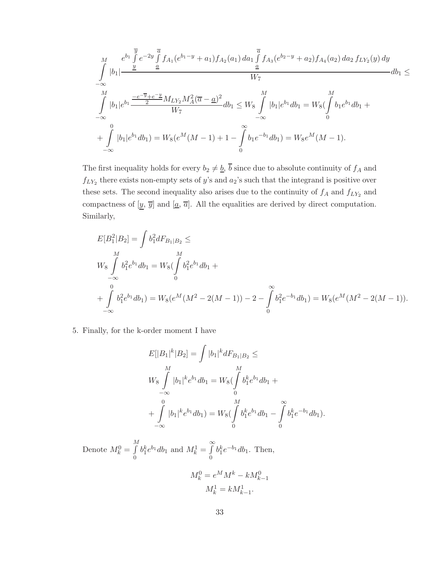$$
\int_{-\infty}^{M} \frac{e^{b_1} \int_{g}^{\overline{y}} e^{-2y} \int_{\underline{a}}^{\overline{a}} f_{A_1}(e^{b_1-y} + a_1) f_{A_2}(a_1) da_1 \int_{\underline{a}}^{\overline{a}} f_{A_3}(e^{b_2-y} + a_2) f_{A_4}(a_2) da_2 f_{LY_2}(y) dy}{W_7} db_1 \le
$$
\n
$$
\int_{-\infty}^{M} |b_1| e^{b_1} \frac{\frac{-e^{-\overline{y}} + e^{-\underline{y}}}{2} M_{LY_2} M_A^2 (\overline{a} - \underline{a})^2}{W_7} db_1 \le W_8 \int_{-\infty}^{M} |b_1| e^{b_1} db_1 = W_8(\int_{0}^{M} b_1 e^{b_1} db_1 + \int_{-\infty}^{0} |b_1| e^{b_1} db_1) = W_8(e^M(M-1) + 1 - \int_{0}^{\infty} b_1 e^{-b_1} db_1) = W_8 e^M(M-1).
$$

The first inequality holds for every  $b_2 \neq \underline{b}$ ,  $\overline{b}$  since due to absolute continuity of  $f_A$  and  $f_{LY_2}$  there exists non-empty sets of y's and  $a_2$ 's such that the integrand is positive over these sets. The second inequality also arises due to the continuity of  $f_A$  and  $f_{LY_2}$  and compactness of  $[\underline{y}, \overline{y}]$  and  $[\underline{a}, \overline{a}]$ . All the equalities are derived by direct computation. Similarly,

$$
E[B_1^2|B_2] = \int b_1^2 dF_{B_1|B_2} \le
$$
  
\n
$$
W_8 \int_{-\infty}^{M} b_1^2 e^{b_1} db_1 = W_8(\int_{0}^{M} b_1^2 e^{b_1} db_1 + \int_{-\infty}^{0} b_1^2 e^{b_1} db_1) = W_8(e^M(M^2 - 2(M - 1)) - 2 - \int_{0}^{\infty} b_1^2 e^{-b_1} db_1) = W_8(e^M(M^2 - 2(M - 1)).
$$

5. Finally, for the k-order moment I have

$$
E[|B_1|^k |B_2] = \int |b_1|^k dF_{B_1|B_2} \le
$$
  
\n
$$
W_8 \int_{-\infty}^M |b_1|^k e^{b_1} db_1 = W_8(\int_0^M b_1^k e^{b_1} db_1 + \int_0^M |b_1|^k e^{b_1} db_1) = W_8(\int_0^M b_1^k e^{b_1} db_1 - \int_0^\infty b_1^k e^{-b_1} db_1).
$$

Denote  $M_k^0 = \int\limits_{0}^{M}$ 0  $b_1^k e^{b_1} db_1$  and  $M_k^1 = \int\limits_{0}^{\infty}$ 0  $b_1^k e^{-b_1} db_1$ . Then,

$$
M_k^0 = e^M M^k - k M_{k-1}^0
$$

$$
M_k^1 = k M_{k-1}^1
$$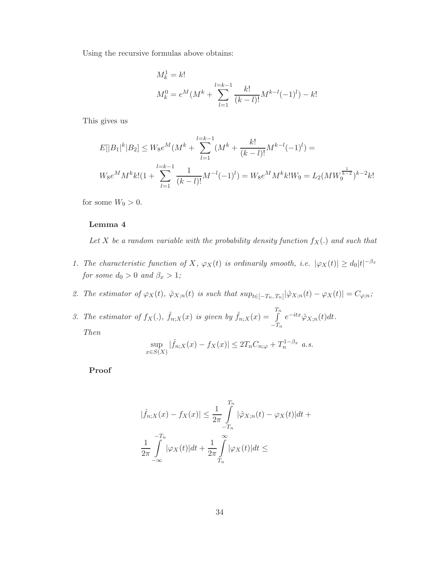Using the recursive formulas above obtains:

$$
M_k^1 = k!
$$
  

$$
M_k^0 = e^M(M^k + \sum_{l=1}^{l=k-1} \frac{k!}{(k-l)!} M^{k-l}(-1)^l) - k!
$$

This gives us

$$
E[|B_1|^k | B_2] \le W_8 e^M (M^k + \sum_{l=1}^{l=k-1} (M^k + \frac{k!}{(k-l)!} M^{k-l} (-1)^l) =
$$
  

$$
W_8 e^M M^k k! (1 + \sum_{l=1}^{l=k-1} \frac{1}{(k-l)!} M^{-l} (-1)^l) = W_8 e^M M^k k! W_9 = L_2 (MW_9^{\frac{1}{k-2}})^{k-2} k!
$$

for some  $W_9 > 0$ .

#### **Lemma 4**

Let X be a random variable with the probability density function  $f_X(.)$  and such that

1. The characteristic function of X,  $\varphi_X(t)$  is ordinarily smooth, i.e.  $|\varphi_X(t)| \geq d_0 |t|^{-\beta_x}$ for some  $d_0 > 0$  and  $\beta_x > 1$ ;

2. The estimator of  $\varphi_X(t)$ ,  $\hat{\varphi}_{X;n}(t)$  is such that  $sup_{t\in[-T_n,T_n]}|\hat{\varphi}_{X;n}(t) - \varphi_X(t)| = C_{\varphi;n}$ ;

3. The estimator of  $f_X(.)$ ,  $\hat{f}_{n,X}(x)$  is given by  $\hat{f}_{n,X}(x) = \int_0^{T_n}$  $-T_n$  $e^{-itx}\hat{\varphi}_{X;n}(t)dt.$ Then

$$
\sup_{x \in S(X)} |\hat{f}_{n,X}(x) - f_X(x)| \le 2T_n C_{n;\varphi} + T_n^{1-\beta_x} \ a.s.
$$

**Proof**

$$
|\hat{f}_{n;X}(x) - f_X(x)| \le \frac{1}{2\pi} \int_{-T_n}^{T_n} |\hat{\varphi}_{X;n}(t) - \varphi_X(t)| dt +
$$
  

$$
\frac{1}{2\pi} \int_{-\infty}^{-T_n} |\varphi_X(t)| dt + \frac{1}{2\pi} \int_{T_n}^{\infty} |\varphi_X(t)| dt \le
$$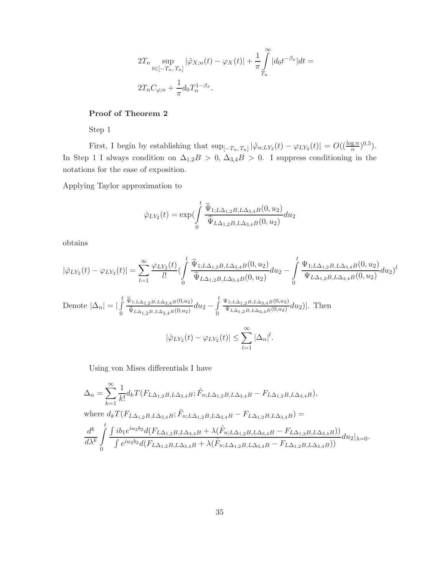$$
2T_n \sup_{t \in [-T_n, T_n]} |\hat{\varphi}_{X;n}(t) - \varphi_X(t)| + \frac{1}{\pi} \int_{T_n}^{\infty} |d_0 t^{-\beta_x}| dt =
$$
  

$$
2T_n C_{\varphi;n} + \frac{1}{\pi} d_0 T_n^{1-\beta_x}.
$$

#### **Proof of Theorem 2**

Step 1

First, I begin by establishing that  $\sup_{[-T_n, T_n]} |\hat{\varphi}_{n;LY_2}(t) - \varphi_{LY_2}(t)| = O((\frac{\log n}{n})^{0.5}).$ In Step 1 I always condition on  $\Delta_{1,2} B > 0$ ,  $\Delta_{3,4} B > 0$ . I suppress conditioning in the notations for the ease of exposition.

Applying Taylor approximation to

$$
\hat{\varphi}_{LY_2}(t) = \exp\left(\int\limits_0^t \frac{\hat{\Psi}_{1;L\Delta_{1,2}B,L\Delta_{3,4}B}(0,u_2)}{\hat{\Psi}_{L\Delta_{1,2}B,L\Delta_{3,4}B}(0,u_2)}du_2\right)
$$

obtains

$$
|\hat{\varphi}_{LY_2}(t)-\varphi_{LY_2}(t)|=\sum_{l=1}^{\infty}\frac{\varphi_{LY_2}(t)}{l!}(\int\limits_{0}^{t}\frac{\widehat{\Psi}_{1;L\Delta_{1,2}B,L\Delta_{3,4}B}(0,u_2)}{\widehat{\Psi}_{L\Delta_{1,2}B,L\Delta_{3,4}B}(0,u_2)}du_2-\int\limits_{0}^{t}\frac{\Psi_{1;L\Delta_{1,2}B,L\Delta_{3,4}B}(0,u_2)}{\Psi_{L\Delta_{1,2}B,L\Delta_{3,4}B}(0,u_2)}du_2)^l
$$

Denote 
$$
|\Delta_n| = \left| \int_0^t \frac{\hat{\Psi}_{1;L\Delta_{1,2}B,L\Delta_{3,4}B}(0,u_2)}{\hat{\Psi}_{L\Delta_{1,2}B,L\Delta_{3,4}B}(0,u_2)} du_2 - \int_0^t \frac{\Psi_{1;L\Delta_{1,2}B,L\Delta_{3,4}B}(0,u_2)}{\Psi_{L\Delta_{1,2}B,L\Delta_{3,4}B}(0,u_2)} du_2 \right|
$$
. Then  

$$
|\hat{\varphi}_{LY_2}(t) - \varphi_{LY_2}(t)| \le \sum_{l=1}^\infty |\Delta_n|^l.
$$

Using von Mises differentials I have

$$
\Delta_n = \sum_{k=1}^{\infty} \frac{1}{k!} d_k T(F_{L\Delta_{1,2}B, L\Delta_{3,4}B}; \hat{F}_{n;L\Delta_{1,2}B, L\Delta_{3,4}B} - F_{L\Delta_{1,2}B, L\Delta_{3,4}B}),
$$
  
where  $d_k T(F_{L\Delta_{1,2}B, L\Delta_{3,4}B}; \hat{F}_{n;L\Delta_{1,2}B, L\Delta_{3,4}B} - F_{L\Delta_{1,2}B, L\Delta_{3,4}B}) =$   

$$
\frac{d^k}{d\lambda^k} \int_0^t \frac{\int ib_1 e^{iu_2 b_2} d(F_{L\Delta_{1,2}B, L\Delta_{3,4}B} + \lambda(\hat{F}_{n;L\Delta_{1,2}B, L\Delta_{3,4}B} - F_{L\Delta_{1,2}B, L\Delta_{3,4}B}))}{\int e^{iu_2 b_2} d(F_{L\Delta_{1,2}B, L\Delta_{3,4}B} + \lambda(\hat{F}_{n;L\Delta_{1,2}B, L\Delta_{3,4}B} - F_{L\Delta_{1,2}B, L\Delta_{3,4}B}))} du_2|_{\lambda=0}.
$$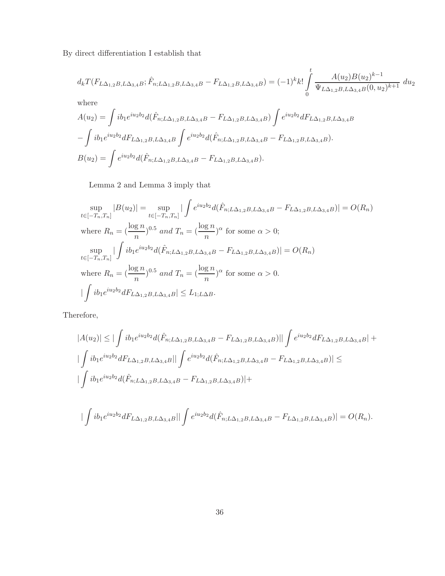By direct differentiation I establish that

$$
d_k T(F_{L\Delta_{1,2}B,L\Delta_{3,4}B}; \hat{F}_{n;L\Delta_{1,2}B,L\Delta_{3,4}B} - F_{L\Delta_{1,2}B,L\Delta_{3,4}B}) = (-1)^k k! \int_0^t \frac{A(u_2)B(u_2)^{k-1}}{\Psi_{L\Delta_{1,2}B,L\Delta_{3,4}B}(0,u_2)^{k+1}} du_2
$$

where

$$
A(u_2) = \int ib_1 e^{iu_2 b_2} d(\hat{F}_{n;L\Delta_{1,2}B, L\Delta_{3,4}B} - F_{L\Delta_{1,2}B, L\Delta_{3,4}B}) \int e^{iu_2 b_2} dF_{L\Delta_{1,2}B, L\Delta_{3,4}B}
$$

$$
- \int ib_1 e^{iu_2 b_2} dF_{L\Delta_{1,2}B, L\Delta_{3,4}B} \int e^{iu_2 b_2} d(\hat{F}_{n;L\Delta_{1,2}B, L\Delta_{3,4}B} - F_{L\Delta_{1,2}B, L\Delta_{3,4}B}).
$$

$$
B(u_2) = \int e^{iu_2 b_2} d(\hat{F}_{n;L\Delta_{1,2}B, L\Delta_{3,4}B} - F_{L\Delta_{1,2}B, L\Delta_{3,4}B}).
$$

Lemma 2 and Lemma 3 imply that

$$
\sup_{t \in [-T_n, T_n]} |B(u_2)| = \sup_{t \in [-T_n, T_n]} |\int e^{iu_2 b_2} d(\hat{F}_{n;L\Delta_{1,2}B, L\Delta_{3,4}B} - F_{L\Delta_{1,2}B, L\Delta_{3,4}B})| = O(R_n)
$$
  
where  $R_n = (\frac{\log n}{n})^{0.5}$  and  $T_n = (\frac{\log n}{n})^{\alpha}$  for some  $\alpha > 0$ ;  

$$
\sup_{t \in [-T_n, T_n]} |\int ib_1 e^{iu_2 b_2} d(\hat{F}_{n;L\Delta_{1,2}B, L\Delta_{3,4}B} - F_{L\Delta_{1,2}B, L\Delta_{3,4}B})| = O(R_n)
$$
  
where  $R_n = (\frac{\log n}{n})^{0.5}$  and  $T_n = (\frac{\log n}{n})^{\alpha}$  for some  $\alpha > 0$ .  

$$
|\int ib_1 e^{iu_2 b_2} dF_{L\Delta_{1,2}B, L\Delta_{3,4}B}| \le L_{1;L\Delta B}.
$$

Therefore,

$$
|A(u_2)| \leq |\int ib_1 e^{iu_2b_2} d(\hat{F}_{n;L\Delta_{1,2}B, L\Delta_{3,4}B} - F_{L\Delta_{1,2}B, L\Delta_{3,4}B})|| \int e^{iu_2b_2} dF_{L\Delta_{1,2}B, L\Delta_{3,4}B}| +
$$
  

$$
|\int ib_1 e^{iu_2b_2} dF_{L\Delta_{1,2}B, L\Delta_{3,4}B}|| \int e^{iu_2b_2} d(\hat{F}_{n;L\Delta_{1,2}B, L\Delta_{3,4}B} - F_{L\Delta_{1,2}B, L\Delta_{3,4}B})| \leq
$$
  

$$
|\int ib_1 e^{iu_2b_2} d(\hat{F}_{n;L\Delta_{1,2}B, L\Delta_{3,4}B} - F_{L\Delta_{1,2}B, L\Delta_{3,4}B})| +
$$

$$
|\int ib_1 e^{i u_2 b_2} dF_{L\Delta_{1,2}B, L\Delta_{3,4}B}|| \int e^{i u_2 b_2} d(\hat{F}_{n;L\Delta_{1,2}B, L\Delta_{3,4}B} - F_{L\Delta_{1,2}B, L\Delta_{3,4}B})| = O(R_n).
$$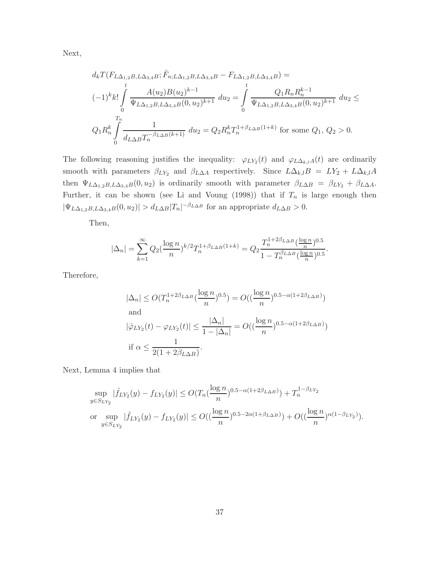Next,

$$
d_k T(F_{L\Delta_{1,2}B, L\Delta_{3,4}B}; \hat{F}_{n;L\Delta_{1,2}B, L\Delta_{3,4}B} - F_{L\Delta_{1,2}B, L\Delta_{3,4}B}) =
$$
  

$$
(-1)^k k! \int_0^t \frac{A(u_2)B(u_2)^{k-1}}{\Psi_{L\Delta_{1,2}B, L\Delta_{3,4}B}(0, u_2)^{k+1}} du_2 = \int_0^t \frac{Q_1 R_n R_n^{k-1}}{\Psi_{L\Delta_{1,2}B, L\Delta_{3,4}B}(0, u_2)^{k+1}} du_2 \le
$$
  

$$
Q_1 R_n^k \int_0^T \frac{1}{d_{L\Delta B} T_n^{-\beta_{L\Delta B}(k+1)}} du_2 = Q_2 R_n^k T_n^{1+\beta_{L\Delta B}(1+k)}
$$
 for some  $Q_1, Q_2 > 0$ .

The following reasoning justifies the inequality:  $\varphi_{LY_2}(t)$  and  $\varphi_{L\Delta_{k,l}A}(t)$  are ordinarily smooth with parameters  $\beta_{LY_2}$  and  $\beta_{L\Delta A}$  respectively. Since  $L\Delta_{k,l}B = LY_2 + L\Delta_{k,l}A$ then  $\Psi_{L\Delta_{1,2}B,L\Delta_{3,4}B}(0, u_2)$  is ordinarily smooth with parameter  $\beta_{L\Delta B} = \beta_{LY_2} + \beta_{L\Delta A}$ . Further, it can be shown (see Li and Voung (1998)) that if  $T_n$  is large enough then  $|\Psi_{L\Delta_{1,2}B,L\Delta_{3,4}B}(0,u_2)| > d_{L\Delta B}|T_n|^{-\beta_{L\Delta B}}$  for an appropriate  $d_{L\Delta B} > 0$ .

Then,

$$
|\Delta_n| = \sum_{k=1}^{\infty} Q_2(\frac{\log n}{n})^{k/2} T_n^{1+\beta_{L\Delta B}(1+k)} = Q_2 \frac{T_n^{1+2\beta_{L\Delta B}}(\frac{\log n}{n})^{0.5}}{1 - T_n^{\beta_{L\Delta B}}(\frac{\log n}{n})^{0.5}}.
$$

Therefore,

$$
|\Delta_n| \le O(T_n^{1+2\beta_{L\Delta B}}(\frac{\log n}{n})^{0.5}) = O((\frac{\log n}{n})^{0.5-\alpha(1+2\beta_{L\Delta B})})
$$
  
and  

$$
|\hat{\varphi}_{LY_2}(t) - \varphi_{LY_2}(t)| \le \frac{|\Delta_n|}{1-|\Delta_n|} = O((\frac{\log n}{n})^{0.5-\alpha(1+2\beta_{L\Delta B})})
$$
  
if  $\alpha \le \frac{1}{2(1+2\beta_{L\Delta B})}$ .

Next, Lemma 4 implies that

$$
\sup_{y \in S_{LY_2}} |\hat{f}_{LY_2}(y) - f_{LY_2}(y)| \le O(T_n(\frac{\log n}{n})^{0.5 - \alpha(1 + 2\beta_{L\Delta B})}) + T_n^{1 - \beta_{LY_2}}
$$
  
or 
$$
\sup_{y \in S_{LY_2}} |\hat{f}_{LY_2}(y) - f_{LY_2}(y)| \le O((\frac{\log n}{n})^{0.5 - 2\alpha(1 + \beta_{L\Delta B})}) + O((\frac{\log n}{n})^{\alpha(1 - \beta_{LY_2})}).
$$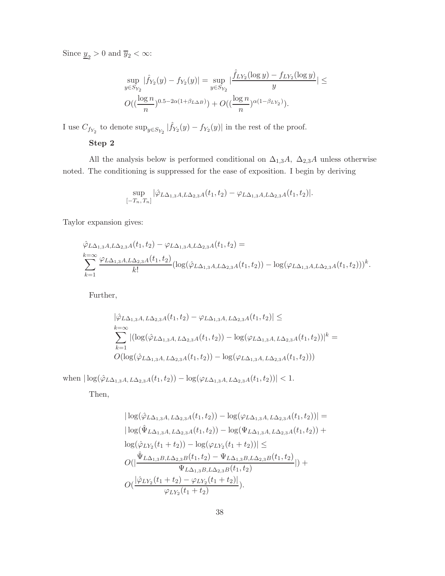Since  $\underline{y}_2 > 0$  and  $\overline{y}_2 < \infty$ :

$$
\sup_{y \in S_{Y_2}} |\hat{f}_{Y_2}(y) - f_{Y_2}(y)| = \sup_{y \in S_{Y_2}} |\frac{\hat{f}_{LY_2}(\log y) - f_{LY_2}(\log y)}{y}| \leq
$$
  

$$
O((\frac{\log n}{n})^{0.5 - 2\alpha(1 + \beta_{L\Delta B})}) + O((\frac{\log n}{n})^{\alpha(1 - \beta_{LY_2})}).
$$

I use  $C_{f_{Y_2}}$  to denote  $\sup_{y\in S_{Y_2}}|\widehat{f}_{Y_2}(y)-f_{Y_2}(y)|$  in the rest of the proof.

#### **Step 2**

All the analysis below is performed conditional on  $\Delta_{1,3}A$ ,  $\Delta_{2,3}A$  unless otherwise noted. The conditioning is suppressed for the ease of exposition. I begin by deriving

$$
\sup_{[-T_n,T_n]} |\hat{\varphi}_{L\Delta_{1,3}A,L\Delta_{2,3}A}(t_1,t_2) - \varphi_{L\Delta_{1,3}A,L\Delta_{2,3}A}(t_1,t_2)|.
$$

Taylor expansion gives:

$$
\hat{\varphi}_{L\Delta_{1,3}A,L\Delta_{2,3}A}(t_1, t_2) - \varphi_{L\Delta_{1,3}A,L\Delta_{2,3}A}(t_1, t_2) =
$$
\n
$$
\sum_{k=1}^{k=\infty} \frac{\varphi_{L\Delta_{1,3}A,L\Delta_{2,3}A}(t_1, t_2)}{k!} (\log(\hat{\varphi}_{L\Delta_{1,3}A,L\Delta_{2,3}A}(t_1, t_2)) - \log(\varphi_{L\Delta_{1,3}A,L\Delta_{2,3}A}(t_1, t_2)))^k.
$$

Further,

$$
|\hat{\varphi}_{L\Delta_{1,3}A, L\Delta_{2,3}A}(t_1, t_2) - \varphi_{L\Delta_{1,3}A, L\Delta_{2,3}A}(t_1, t_2)| \le
$$
  
\n
$$
\sum_{k=0}^{k=\infty} |(\log(\hat{\varphi}_{L\Delta_{1,3}A, L\Delta_{2,3}A}(t_1, t_2)) - \log(\varphi_{L\Delta_{1,3}A, L\Delta_{2,3}A}(t_1, t_2))|^k =
$$
  
\n
$$
O(\log(\hat{\varphi}_{L\Delta_{1,3}A, L\Delta_{2,3}A}(t_1, t_2)) - \log(\varphi_{L\Delta_{1,3}A, L\Delta_{2,3}A}(t_1, t_2)))
$$

when  $|\log(\hat{\varphi}_{L\Delta_{1,3}A,\,L\Delta_{2,3}A}(t_1,t_2)) - \log(\varphi_{L\Delta_{1,3}A,\,L\Delta_{2,3}A}(t_1,t_2))| < 1.$ 

Then,

$$
|\log(\hat{\varphi}_{L\Delta_{1,3}A, L\Delta_{2,3}A}(t_1, t_2)) - \log(\varphi_{L\Delta_{1,3}A, L\Delta_{2,3}A}(t_1, t_2))| =
$$
\n
$$
|\log(\hat{\Psi}_{L\Delta_{1,3}A, L\Delta_{2,3}A}(t_1, t_2)) - \log(\Psi_{L\Delta_{1,3}A, L\Delta_{2,3}A}(t_1, t_2)) +
$$
\n
$$
\log(\hat{\varphi}_{LY_2}(t_1 + t_2)) - \log(\varphi_{LY_2}(t_1 + t_2))| \le
$$
\n
$$
O(|\frac{\hat{\Psi}_{L\Delta_{1,3}B, L\Delta_{2,3}B}(t_1, t_2) - \Psi_{L\Delta_{1,3}B, L\Delta_{2,3}B}(t_1, t_2)}{\Psi_{L\Delta_{1,3}B, L\Delta_{2,3}B}(t_1, t_2)}| +
$$
\n
$$
O(\frac{|\hat{\varphi}_{LY_2}(t_1 + t_2) - \varphi_{LY_2}(t_1 + t_2)|}{\varphi_{LY_2}(t_1 + t_2)})
$$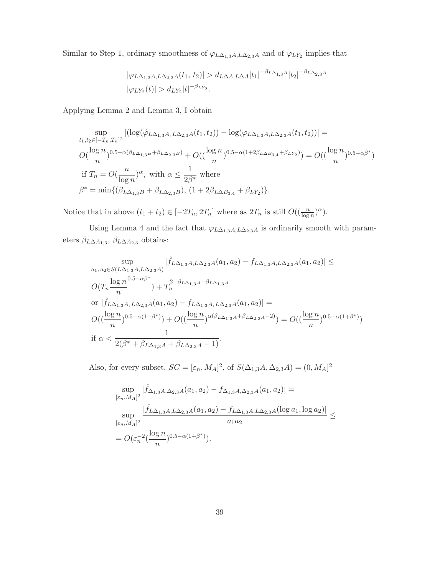Similar to Step 1, ordinary smoothness of  $\varphi_{L\Delta_{1,3}A,L\Delta_{2,3}A}$  and of  $\varphi_{LY_2}$  implies that

$$
|\varphi_{L\Delta_{1,3}A,L\Delta_{2,3}A}(t_1, t_2)| > d_{L\Delta A,L\Delta A}|t_1|^{-\beta_{L\Delta_{1,3}A}}|t_2|^{-\beta_{L\Delta_{2,3}A}}|\varphi_{LY_2}(t)| > d_{LY_2}|t|^{-\beta_{LY_2}}.
$$

Applying Lemma 2 and Lemma 3,I obtain

$$
\sup_{t_1, t_2 \in [-T_n, T_n]^2} |(\log(\hat{\varphi}_{L\Delta_{1,3}A, L\Delta_{2,3}A}(t_1, t_2)) - \log(\varphi_{L\Delta_{1,3}A, L\Delta_{2,3}A}(t_1, t_2))| =
$$
  

$$
O(\frac{\log n}{n})^{0.5 - \alpha(\beta_{L\Delta_{1,3}B} + \beta_{L\Delta_{2,3}B})} + O((\frac{\log n}{n})^{0.5 - \alpha(1 + 2\beta_{L\Delta B_{3,4}} + \beta_{LY_2})}) = O((\frac{\log n}{n})^{0.5 - \alpha\beta^*})
$$
  
if  $T_n = O(\frac{n}{\log n})^{\alpha}$ , with  $\alpha \le \frac{1}{2\beta^*}$  where  
 $\beta^* = \min\{(\beta_{L\Delta_{1,3}B} + \beta_{L\Delta_{2,3}B}), (1 + 2\beta_{L\Delta B_{3,4}} + \beta_{LY_2})\}.$ 

Notice that in above  $(t_1 + t_2) \in [-2T_n, 2T_n]$  where as  $2T_n$  is still  $O((\frac{n}{\log n})^{\alpha})$ .

Using Lemma 4 and the fact that  $\varphi_{L\Delta_{1,3}A,L\Delta_{2,3}A}$  is ordinarily smooth with parameters $\beta_{L\Delta A_{1,3}},$   $\beta_{L\Delta A_{2,3}}$  obtains:

$$
\sup_{a_1, a_2 \in S(L\Delta_{1,3}A, L\Delta_{2,3}A)} |\hat{f}_{L\Delta_{1,3}A, L\Delta_{2,3}A}(a_1, a_2) - f_{L\Delta_{1,3}A, L\Delta_{2,3}A}(a_1, a_2)| \le
$$
  

$$
O(T_n \frac{\log n^{0.5 - \alpha\beta^*}}{n}) + T_n^{2 - \beta_{L\Delta_{1,3}A} - \beta_{L\Delta_{1,3}A}} \text{ or } |\hat{f}_{L\Delta_{1,3}A, L\Delta_{2,3}A}(a_1, a_2) - f_{L\Delta_{1,3}A, L\Delta_{2,3}A}(a_1, a_2)| =
$$
  

$$
O((\frac{\log n}{n})^{0.5 - \alpha(1 + \beta^*)}) + O((\frac{\log n}{n})^{\alpha(\beta_{L\Delta_{1,3}A} + \beta_{L\Delta_{2,3}A} - 2)}) = O((\frac{\log n}{n})^{0.5 - \alpha(1 + \beta^*)})
$$
  
if  $\alpha < \frac{1}{2(\beta^* + \beta_{L\Delta_{1,3}A} + \beta_{L\Delta_{2,3}A} - 1)}.$ 

Also, for every subset,  $SC = [\varepsilon_n, M_A]^2$ , of  $S(\Delta_{1,3}A, \Delta_{2,3}A) = (0, M_A]^2$ 

$$
\sup_{[\varepsilon_n, M_A]^2} |\hat{f}_{\Delta_{1,3}A, \Delta_{2,3}A}(a_1, a_2) - f_{\Delta_{1,3}A, \Delta_{2,3}A}(a_1, a_2)| = \n\sup_{[\varepsilon_n, M_A]^2} \frac{|\hat{f}_{L\Delta_{1,3}A, L\Delta_{2,3}A}(a_1, a_2) - f_{L\Delta_{1,3}A, L\Delta_{2,3}A}(\log a_1, \log a_2)|}{a_1 a_2} \leq
$$
\n
$$
= O(\varepsilon_n^{-2} (\frac{\log n}{n})^{0.5 - \alpha(1 + \beta^*)}).
$$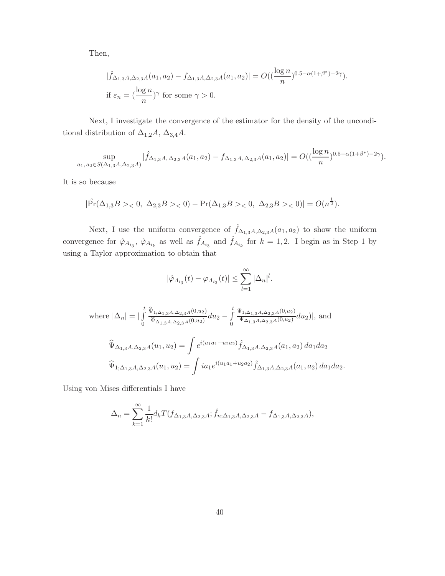Then,

$$
|\widehat{f}_{\Delta_{1,3}A,\Delta_{2,3}A}(a_1,a_2)-f_{\Delta_{1,3}A,\Delta_{2,3}A}(a_1,a_2)|=O((\frac{\log n}{n})^{0.5-\alpha(1+\beta^*)-2\gamma}).
$$
  
if  $\varepsilon_n = (\frac{\log n}{n})^{\gamma}$  for some  $\gamma > 0$ .

Next,I investigate the convergence of the estimator for the density of the unconditional distribution of  $\Delta_{1,2}A$ ,  $\Delta_{3,4}A$ .

$$
\sup_{a_1, a_2 \in S(\Delta_{1,3}A, \Delta_{2,3}A)} |\widehat{f}_{\Delta_{1,3}A, \Delta_{2,3}A}(a_1, a_2) - f_{\Delta_{1,3}A, \Delta_{2,3}A}(a_1, a_2)| = O((\frac{\log n}{n})^{0.5 - \alpha(1 + \beta^*) - 2\gamma}).
$$

It is so because

$$
|\hat{\Pr}(\Delta_{1,3}B> < 0, \ \Delta_{2,3}B> < 0) - \Pr(\Delta_{1,3}B> < 0, \ \Delta_{2,3}B> < 0)| = O(n^{\frac{1}{2}}).
$$

Next, I use the uniform convergence of  $\hat{f}_{\Delta_{1,3}A,\Delta_{2,3}A}(a_1, a_2)$  to show the uniform convergence for  $\hat{\varphi}_{A_{i_3}}, \hat{\varphi}_{A_{i_k}}$  as well as  $\hat{f}_{A_{i_3}}$  and  $\hat{f}_{A_{i_k}}$  for  $k = 1, 2$ . I begin as in Step 1 by using a Taylor approximation to obtain that

$$
|\hat{\varphi}_{A_{i_3}}(t) - \varphi_{A_{i_3}}(t)| \leq \sum_{l=1}^{\infty} |\Delta_n|^l.
$$

where 
$$
|\Delta_n| = |\int_0^t \frac{\hat{\Psi}_{1;\Delta_{1,3}A,\Delta_{2,3}A}(0,u_2)}{\hat{\Psi}_{\Delta_{1,3}A,\Delta_{2,3}A}(0,u_2)} du_2 - \int_0^t \frac{\Psi_{1;\Delta_{1,3}A,\Delta_{2,3}A}(0,u_2)}{\Psi_{\Delta_{1,3}A,\Delta_{2,3}A}(0,u_2)} du_2)|
$$
, and  
\n
$$
\hat{\Psi}_{\Delta_{1,3}A,\Delta_{2,3}A}(u_1,u_2) = \int e^{i(u_1a_1+u_2a_2)} \hat{f}_{\Delta_{1,3}A,\Delta_{2,3}A}(a_1,a_2) da_1 da_2
$$
\n
$$
\hat{\Psi}_{1;\Delta_{1,3}A,\Delta_{2,3}A}(u_1,u_2) = \int ia_1 e^{i(u_1a_1+u_2a_2)} \hat{f}_{\Delta_{1,3}A,\Delta_{2,3}A}(a_1,a_2) da_1 da_2.
$$

Using von Mises differentials I have

$$
\Delta_n = \sum_{k=1}^{\infty} \frac{1}{k!} d_k T(f_{\Delta_{1,3}A,\Delta_{2,3}A}; \hat{f}_{n;\Delta_{1,3}A,\Delta_{2,3}A} - f_{\Delta_{1,3}A,\Delta_{2,3}A}),
$$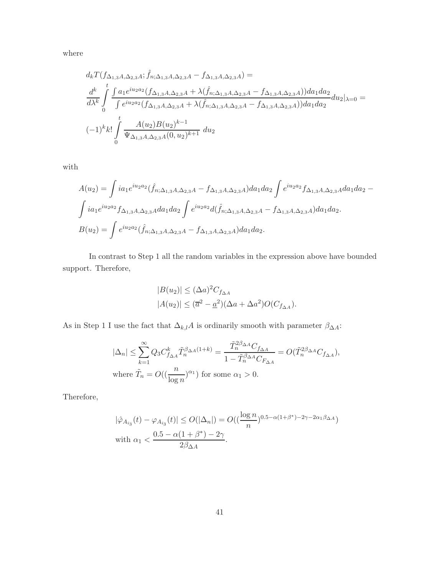where

$$
d_k T(f_{\Delta_{1,3}A,\Delta_{2,3}A}; \hat{f}_{n;\Delta_{1,3}A,\Delta_{2,3}A} - f_{\Delta_{1,3}A,\Delta_{2,3}A}) =
$$
  
\n
$$
\frac{d^k}{d\lambda^k} \int_0^t \frac{\int a_1 e^{i u_2 a_2} (f_{\Delta_{1,3}A,\Delta_{2,3}A} + \lambda(\hat{f}_{n;\Delta_{1,3}A,\Delta_{2,3}A} - f_{\Delta_{1,3}A,\Delta_{2,3}A})) da_1 da_2}{\int e^{i u_2 a_2} (f_{\Delta_{1,3}A,\Delta_{2,3}A} + \lambda(\hat{f}_{n;\Delta_{1,3}A,\Delta_{2,3}A} - f_{\Delta_{1,3}A,\Delta_{2,3}A})) da_1 da_2} du_2|\lambda = 0 =
$$
  
\n
$$
(-1)^k k! \int_0^t \frac{A(u_2)B(u_2)^{k-1}}{\Psi_{\Delta_{1,3}A,\Delta_{2,3}A}(0,u_2)^{k+1}} du_2
$$

with

$$
A(u_2) = \int i a_1 e^{i u_2 a_2} (\hat{f}_{n; \Delta_{1,3} A, \Delta_{2,3} A} - f_{\Delta_{1,3} A, \Delta_{2,3} A}) da_1 da_2 \int e^{i u_2 a_2} f_{\Delta_{1,3} A, \Delta_{2,3} A} da_1 da_2 -
$$
  

$$
\int i a_1 e^{i u_2 a_2} f_{\Delta_{1,3} A, \Delta_{2,3} A} da_1 da_2 \int e^{i u_2 a_2} d(\hat{f}_{n; \Delta_{1,3} A, \Delta_{2,3} A} - f_{\Delta_{1,3} A, \Delta_{2,3} A}) da_1 da_2.
$$
  

$$
B(u_2) = \int e^{i u_2 a_2} (\hat{f}_{n; \Delta_{1,3} A, \Delta_{2,3} A} - f_{\Delta_{1,3} A, \Delta_{2,3} A}) da_1 da_2.
$$

In contrast to Step 1 all the random variables in the expression above have bounded support. Therefore,

$$
|B(u_2)| \leq (\Delta a)^2 C_{f_{\Delta A}}
$$
  

$$
|A(u_2)| \leq (\overline{a}^2 - \underline{a}^2)(\Delta a + \Delta a^2)O(C_{f_{\Delta A}}).
$$

As in Step 1 I use the fact that  $\Delta_{k,l}A$  is ordinarily smooth with parameter  $\beta_{\Delta A}\colon$ 

$$
\begin{aligned} |\Delta_n| &\leq \sum_{k=1}^\infty Q_3 C_{f_{\Delta A}}^k \tilde{T}_n^{\beta_{\Delta A}(1+k)} = \frac{\tilde{T}_n^{2\beta_{\Delta A}} C_{f_{\Delta A}}}{1-\tilde{T}_n^{\beta_{\Delta A}} C_{F_{\Delta A}}} = O(\tilde{T}_n^{2\beta_{\Delta A}} C_{f_{\Delta A}}), \end{aligned}
$$
 where  $\tilde{T}_n = O((\frac{n}{\log n})^{\alpha_1})$  for some  $\alpha_1 > 0$ .

Therefore,

$$
|\hat{\varphi}_{A_{i_3}}(t) - \varphi_{A_{i_3}}(t)| \le O(|\Delta_n|) = O((\frac{\log n}{n})^{0.5 - \alpha(1 + \beta^*) - 2\gamma - 2\alpha_1\beta_{\Delta A}})
$$
  
with  $\alpha_1 < \frac{0.5 - \alpha(1 + \beta^*) - 2\gamma}{2\beta_{\Delta A}}$ .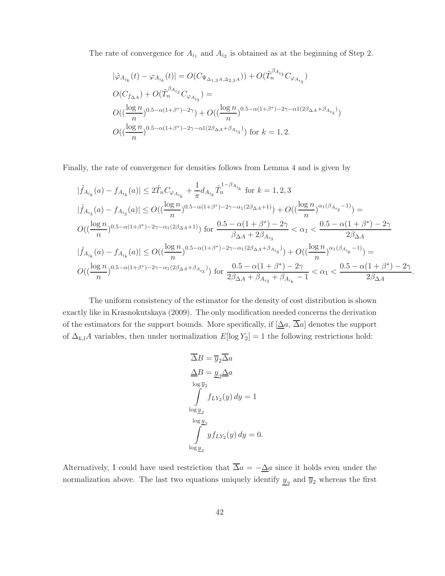The rate of convergence for  $A_{i_1}$  and  $A_{i_2}$  is obtained as at the beginning of Step 2.

$$
|\hat{\varphi}_{A_{i_k}}(t) - \varphi_{A_{i_k}}(t)| = O(C_{\Psi_{\Delta_{1,3}A,\Delta_{2,3}A}})) + O(\tilde{T}_n^{\beta_{A_{i_3}}}C_{\varphi_{A_{i_3}}})
$$
  
\n
$$
O(C_{f_{\Delta A}}) + O(\tilde{T}_n^{\beta_{A_{i_3}}}C_{\varphi_{A_{i_3}}}) =
$$
  
\n
$$
O((\frac{\log n}{n})^{0.5 - \alpha(1 + \beta^*) - 2\gamma}) + O((\frac{\log n}{n})^{0.5 - \alpha(1 + \beta^*) - 2\gamma - \alpha1(2\beta_{\Delta A} + \beta_{A_{i_3}})})
$$
  
\n
$$
O((\frac{\log n}{n})^{0.5 - \alpha(1 + \beta^*) - 2\gamma - \alpha1(2\beta_{\Delta A} + \beta_{A_{i_3}})})
$$
 for  $k = 1, 2$ .

Finally, the rate of convergence for densities follows from Lemma 4 and is given by

$$
\begin{aligned} &|\widehat{f}_{A_{i_k}}(a)-f_{A_{i_k}}(a)|\leq 2\tilde{T}_nC_{\varphi_{A_{i_k}}}+\frac{1}{\pi}d_{A_{i_k}}\tilde{T}_n^{1-\beta_{A_{i_k}}}\ \text{for}\ k=1,2,3\\ &|\widehat{f}_{A_{i_3}}(a)-f_{A_{i_3}}(a)|\leq O((\frac{\log n}{n})^{0.5-\alpha(1+\beta^*)-2\gamma-\alpha_1(2\beta_{\Delta A}+1)})+O((\frac{\log n}{n})^{\alpha_1(\beta_{A_{i_3}}-1)})=\\ &O((\frac{\log n}{n})^{0.5-\alpha(1+\beta^*)-2\gamma-\alpha_1(2\beta_{\Delta A}+1)})\ \text{for}\ \frac{0.5-\alpha(1+\beta^*)-2\gamma}{\beta_{\Delta A}+2\beta_{A_{i_3}}}<\alpha_1<\frac{0.5-\alpha(1+\beta^*)-2\gamma}{2\beta_{\Delta A}}\\ &|\widehat{f}_{A_{i_k}}(a)-f_{A_{i_k}}(a)|\leq O((\frac{\log n}{n})^{0.5-\alpha(1+\beta^*)-2\gamma-\alpha_1(2\beta_{\Delta A}+\beta_{A_{i_3}})})+O((\frac{\log n}{n})^{\alpha_1(\beta_{A_{i_k}}-1)})=\\ &O((\frac{\log n}{n})^{0.5-\alpha(1+\beta^*)-2\gamma-\alpha_1(2\beta_{\Delta A}+\beta_{A_{i_3}})})\ \text{for}\ \frac{0.5-\alpha(1+\beta^*)-2\gamma}{2\beta_{\Delta A}+\beta_{A_{i_3}}+\beta_{A_{i_k}}-1}<\alpha_1<\frac{0.5-\alpha(1+\beta^*)-2\gamma}{2\beta_{\Delta A}} \end{aligned}
$$

.

The uniform consistency of the estimator for the density of cost distribution is shown exactly like in Krasnokutskaya (2009). The only modification needed concerns the derivation of the estimators for the support bounds. More specifically, if  $[\Delta a, \overline{\Delta} a]$  denotes the support of  $\Delta_{k,l}A$  variables, then under normalization  $E[\log Y_2] = 1$  the following restrictions hold:

$$
\overline{\Delta}B = \overline{y}_2 \overline{\Delta}a
$$
  
\n
$$
\underline{\Delta}B = \underline{y}_2 \underline{\Delta}a
$$
  
\n
$$
\int_{\log \underline{y}_2} f_{LY_2}(y) dy = 1
$$
  
\n
$$
\int_{\log \underline{y}_2} y f_{LY_2}(y) dy = 0.
$$

Alternatively, I could have used restriction that  $\overline{\Delta}a = -\underline{\Delta}a$  since it holds even under the normalization above. The last two equations uniquely identify  $\underline{y}_2$  and<br>  $\overline{y}_2$  whereas the first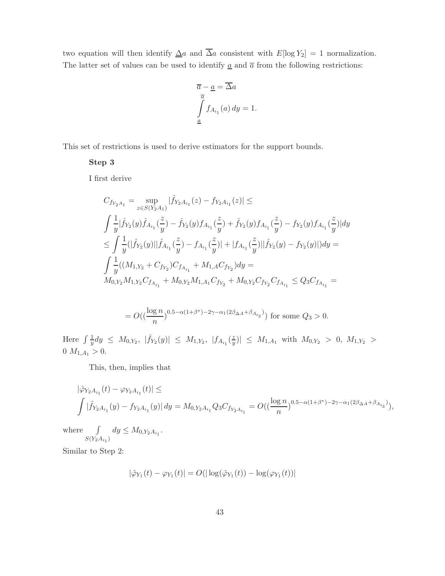two equation will then identify  $\Delta a$  and  $\overline{\Delta} a$  consistent with  $E[\log Y_2] = 1$  normalization. The latter set of values can be used to identify  $\underline{a}$  and  $\overline{a}$  from the following restrictions:

$$
\overline{a} - \underline{a} = \overline{\Delta}a
$$

$$
\int_{\underline{a}}^{\overline{a}} f_{A_{i_1}}(a) dy = 1.
$$

This set of restrictions is used to derive estimators for the support bounds.

#### **Step 3**

I first derive

$$
\begin{split} &C_{f_{Y_2A_1}}=\sup_{z\in S(Y_2A_1)}|\hat{f}_{Y_2A_{i_1}}(z)-f_{Y_2A_{i_1}}(z)|\leq\\ &\int\frac{1}{y}|\hat{f}_{Y_2}(y)\hat{f}_{A_{i_1}}(\frac{z}{y})-\hat{f}_{Y_2}(y)f_{A_{i_1}}(\frac{z}{y})+\hat{f}_{Y_2}(y)f_{A_{i_1}}(\frac{z}{y})-f_{Y_2}(y)f_{A_{i_1}}(\frac{z}{y})|dy\\ &\leq \int\frac{1}{y}(|\hat{f}_{Y_2}(y)||\hat{f}_{A_{i_1}}(\frac{z}{y})-f_{A_{i_1}}(\frac{z}{y})|+|f_{A_{i_1}}(\frac{z}{y})||\hat{f}_{Y_2}(y)-f_{Y_2}(y)|)dy=\\ &\int\frac{1}{y}((M_{1,Y_2}+C_{f_{Y_2}})C_{f_{A_{i_1}}}+M_{1,A}C_{f_{Y_2}})dy=\\ &M_{0,Y_2}M_{1,Y_2}C_{f_{A_{i_1}}}+M_{0,Y_2}M_{1,A_1}C_{f_{Y_2}}+M_{0,Y_2}C_{f_{Y_2}}C_{f_{A_{i_1}}}\leq Q_3C_{f_{A_{i_1}}}= \end{split}
$$

$$
=O\left(\left(\frac{\log n}{n}\right)^{0.5-\alpha(1+\beta^*)-2\gamma-\alpha_1(2\beta_{\Delta A}+\beta_{A_{i_3}})}\right)
$$
 for some  $Q_3 > 0$ .

Here  $\int \frac{1}{y} dy \leq M_{0,Y_2}$ ,  $|\hat{f}_{Y_2}(y)| \leq M_{1,Y_2}$ ,  $|f_{A_{i_1}}(\frac{z}{y})| \leq M_{1,A_1}$  with  $M_{0,Y_2} > 0$ ,  $M_{1,Y_2} >$ 0  $M_{1,A_1} > 0$ .

This, then, implies that

$$
|\hat{\varphi}_{Y_2A_{i_1}}(t) - \varphi_{Y_2A_{i_1}}(t)| \le
$$
  

$$
\int |\hat{f}_{Y_2A_{i_1}}(y) - f_{Y_2A_{i_1}}(y)| dy = M_{0,Y_2A_{i_1}}Q_3C_{f_{Y_2A_{i_1}}} = O((\frac{\log n}{n})^{0.5 - \alpha(1+\beta^*) - 2\gamma - \alpha_1(2\beta_{\Delta A} + \beta_{A_{i_3}})}),
$$

where ∫  $S(Y_2A_{i_1})$  $dy \leq M_{0, Y_2A_{i_1}}.$ 

Similar to Step 2:

$$
|\hat{\varphi}_{Y_1}(t) - \varphi_{Y_1}(t)| = O(|\log(\hat{\varphi}_{Y_1}(t)) - \log(\varphi_{Y_1}(t))|
$$